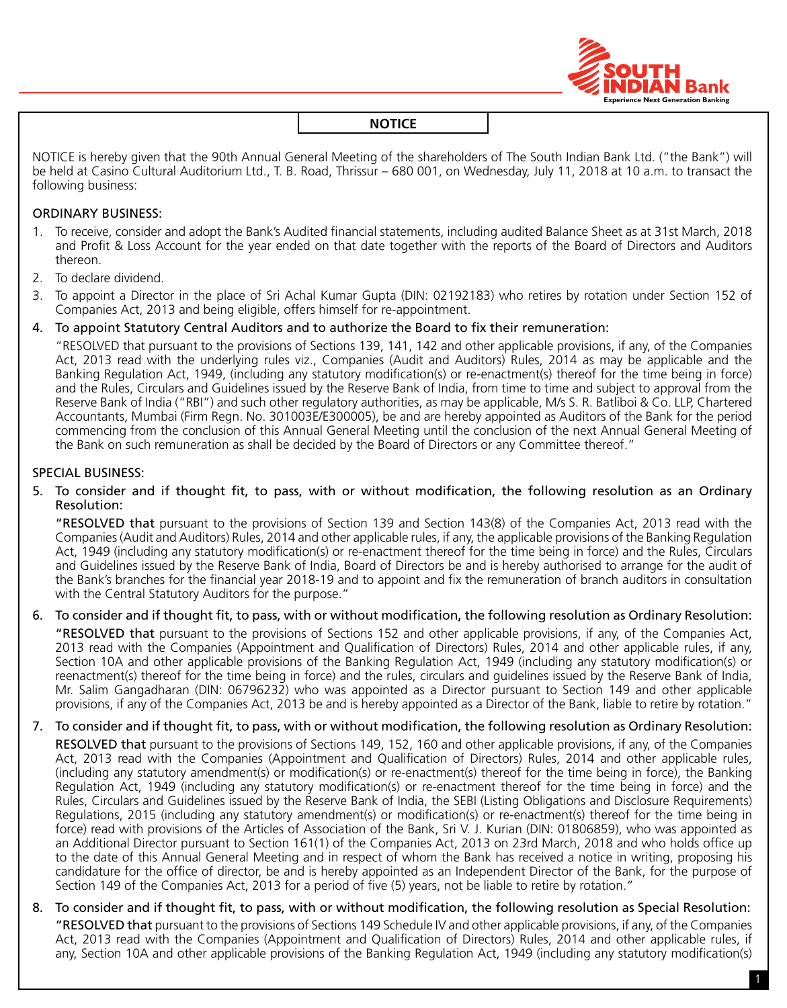

NOTICE is hereby given that the 90th Annual General Meeting of the shareholders of The South Indian Bank Ltd. ("the Bank") will be held at Casino Cultural Auditorium Ltd., T. B. Road, Thrissur – 680 001, on Wednesday, July 11, 2018 at 10 a.m. to transact the following business:

# ORDINARY BUSINESS:

- 1. To receive, consider and adopt the Bank's Audited financial statements, including audited Balance Sheet as at 31st March, 2018 and Profit & Loss Account for the year ended on that date together with the reports of the Board of Directors and Auditors thereon.
- 2. To declare dividend.
- 3. To appoint a Director in the place of Sri Achal Kumar Gupta (DIN: 02192183) who retires by rotation under section 152 of Companies Act, 2013 and being eligible, offers himself for re-appointment.
- 4. To appoint Statutory Central Auditors and to authorize the Board to fix their remuneration:

"RESOLVED that pursuant to the provisions of Sections 139, 141, 142 and other applicable provisions, if any, of the Companies Act, 2013 read with the underlying rules viz., Companies (Audit and Auditors) Rules, 2014 as may be applicable and the Banking Regulation Act, 1949, (including any statutory modification(s) or re-enactment(s) thereof for the time being in force) and the Rules, Circulars and Guidelines issued by the Reserve Bank of India, from time to time and subject to approval from the Reserve Bank of India ("RBI") and such other regulatory authorities, as may be applicable, M/s S. R. Batliboi & Co. LLP, Chartered Accountants, Mumbai (Firm Regn. No. 301003E/E300005), be and are hereby appointed as Auditors of the Bank for the period commencing from the conclusion of this Annual General meeting until the conclusion of the next Annual General Meeting of the Bank on such remuneration as shall be decided by the Board of Directors or any Committee thereof."

# SPECIAL BUSINESS:

5. To consider and if thought fit, to pass, with or without modification, the following resolution as an Ordinary Resolution:

"RESOLVED that pursuant to the provisions of Section 139 and section 143(8) of the Companies Act, 2013 read with the Companies (Audit and Auditors) Rules, 2014 and other applicable rules, if any, the applicable provisions of the Banking Regulation Act, 1949 (including any statutory modification(s) or re-enactment thereof for the time being in force) and the Rules, Circulars and Guidelines issued by the Reserve Bank of India, Board of Directors be and is hereby authorised to arrange for the audit of the Bank's branches for the financial year 2018-19 and to appoint and fix the remuneration of branch auditors in consultation with the Central Statutory Auditors for the purpose."

6. To consider and if thought fit, to pass, with or without modification, the following resolution as Ordinary Resolution:

"RESOLVED that pursuant to the provisions of Sections 152 and other applicable provisions, if any, of the Companies Act, 2013 read with the Companies (Appointment and Qualification of Directors) Rules, 2014 and other applicable rules, if any, Section 10A and other applicable provisions of the Banking Regulation Act, 1949 (including any statutory modification(s) or reenactment(s) thereof for the time being in force) and the rules, circulars and guidelines issued by the Reserve Bank of India, Mr. Salim Gangadharan (DIN: 06796232) who was appointed as a Director pursuant to Section 149 and other applicable provisions, if any of the Companies Act, 2013 be and is hereby appointed as a Director of the Bank, liable to retire by rotation."

7. To consider and if thought fit, to pass, with or without modification, the following resolution as Ordinary Resolution:

RESOLVED that pursuant to the provisions of Sections 149, 152, 160 and other applicable provisions, if any, of the Companies Act, 2013 read with the Companies (Appointment and Qualification of Directors) Rules, 2014 and other applicable rules, (including any statutory amendment(s) or modification(s) or re-enactment(s) thereof for the time being in force), the Banking Regulation Act, 1949 (including any statutory modification(s) or re-enactment thereof for the time being in force) and the Rules, Circulars and Guidelines issued by the Reserve Bank of India, the SEBI (Listing Obligations and Disclosure Requirements) Regulations, 2015 (including any statutory amendment(s) or modification(s) or re-enactment(s) thereof for the time being in force) read with provisions of the Articles of Association of the Bank, Sri V. J. Kurian (DIN: 01806859), who was appointed as an Additional Director pursuant to Section 161(1) of the Companies Act, 2013 on 23rd March, 2018 and who holds office up to the date of this Annual General Meeting and in respect of whom the Bank has received a notice in writing, proposing his candidature for the office of director, be and is hereby appointed as an Independent Director of the Bank, for the purpose of Section 149 of the Companies Act, 2013 for a period of five (5) years, not be liable to retire by rotation."

8. To consider and if thought fit, to pass, with or without modification, the following resolution as Special Resolution: "RESOLVED that pursuant to the provisions of Sections 149 Schedule IV and other applicable provisions, if any, of the Companies Act, 2013 read with the Companies (Appointment and Qualification of Directors) Rules, 2014 and other applicable rules, if any, Section 10A and other applicable provisions of the Banking Regulation Act, 1949 (including any statutory modification(s)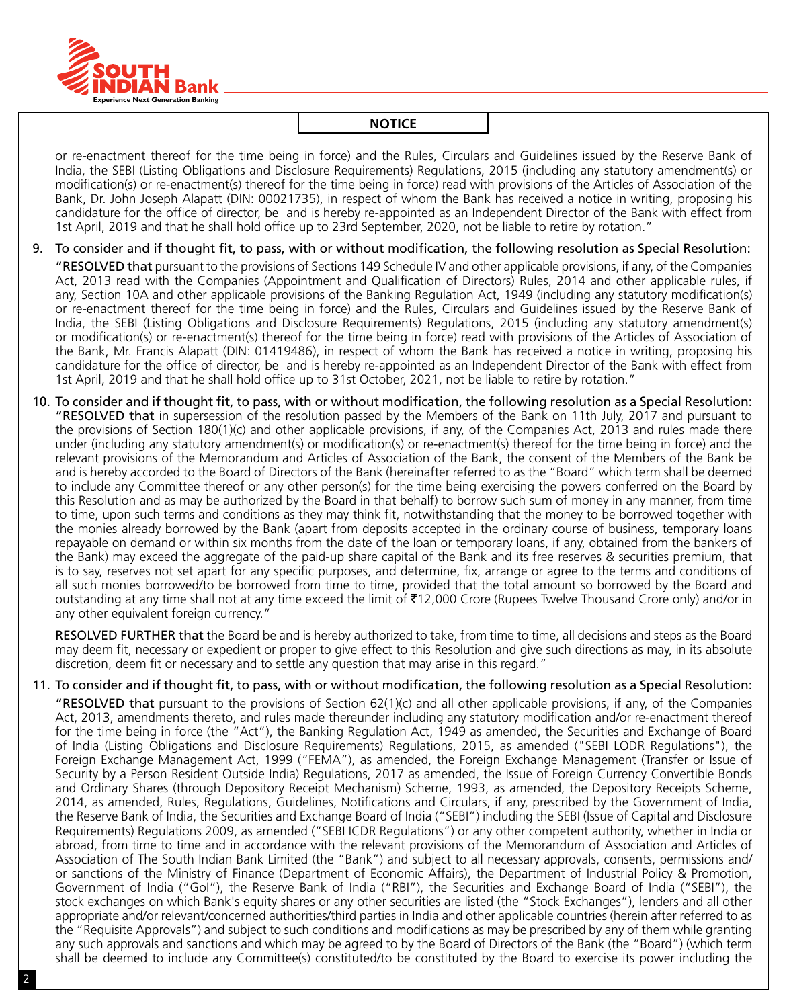

or re-enactment thereof for the time being in force) and the Rules, Circulars and Guidelines issued by the Reserve Bank of India, the SEBI (Listing Obligations and Disclosure Requirements) Regulations, 2015 (including any statutory amendment(s) or modification(s) or re-enactment(s) thereof for the time being in force) read with provisions of the Articles of Association of the Bank, Dr. John Joseph Alapatt (DIN: 00021735), in respect of whom the Bank has received a notice in writing, proposing his candidature for the office of director, be and is hereby re-appointed as an Independent Director of the Bank with effect from 1st April, 2019 and that he shall hold office up to 23rd September, 2020, not be liable to retire by rotation."

- 9. To consider and if thought fit, to pass, with or without modification, the following resolution as Special Resolution: "RESOLVED that pursuant to the provisions of Sections 149 Schedule IV and other applicable provisions, if any, of the Companies Act, 2013 read with the Companies (Appointment and Qualification of Directors) Rules, 2014 and other applicable rules, if any, Section 10A and other applicable provisions of the Banking Regulation Act, 1949 (including any statutory modification(s) or re-enactment thereof for the time being in force) and the Rules, Circulars and Guidelines issued by the Reserve Bank of India, the SEBI (Listing Obligations and Disclosure Requirements) Regulations, 2015 (including any statutory amendment(s) or modification(s) or re-enactment(s) thereof for the time being in force) read with provisions of the Articles of Association of the Bank, Mr. Francis Alapatt (DIN: 01419486), in respect of whom the Bank has received a notice in writing, proposing his candidature for the office of director, be and is hereby re-appointed as an Independent Director of the Bank with effect from 1st April, 2019 and that he shall hold office up to 31st October, 2021, not be liable to retire by rotation."
- 10. To consider and if thought fit, to pass, with or without modification, the following resolution as a Special Resolution: "RESOLVED that in supersession of the resolution passed by the Members of the Bank on 11th July, 2017 and pursuant to the provisions of Section 180(1)(c) and other applicable provisions, if any, of the Companies Act, 2013 and rules made there under (including any statutory amendment(s) or modification(s) or re-enactment(s) thereof for the time being in force) and the relevant provisions of the Memorandum and Articles of Association of the Bank, the consent of the Members of the Bank be and is hereby accorded to the Board of Directors of the Bank (hereinafter referred to as the "Board" which term shall be deemed to include any Committee thereof or any other person(s) for the time being exercising the powers conferred on the Board by this Resolution and as may be authorized by the Board in that behalf) to borrow such sum of money in any manner, from time to time, upon such terms and conditions as they may think fit, notwithstanding that the money to be borrowed together with the monies already borrowed by the Bank (apart from deposits accepted in the ordinary course of business, temporary loans repayable on demand or within six months from the date of the loan or temporary loans, if any, obtained from the bankers of the Bank) may exceed the aggregate of the paid-up share capital of the Bank and its free reserves & securities premium, that is to say, reserves not set apart for any specific purposes, and determine, fix, arrange or agree to the terms and conditions of all such monies borrowed/to be borrowed from time to time, provided that the total amount so borrowed by the Board and outstanding at any time shall not at any time exceed the limit of ₹12,000 Crore (Rupees Twelve Thousand Crore only) and/or in any other equivalent foreign currency."

RESOLVED FURTHER that the Board be and is hereby authorized to take, from time to time, all decisions and steps as the Board may deem fit, necessary or expedient or proper to give effect to this Resolution and give such directions as may, in its absolute discretion, deem fit or necessary and to settle any question that may arise in this regard."

# 11. To consider and if thought fit, to pass, with or without modification, the following resolution as a Special Resolution:

**"RESOLVED that** pursuant to the provisions of Section  $62(1)(c)$  and all other applicable provisions, if any, of the Companies Act, 2013, amendments thereto, and rules made thereunder including any statutory modification and/or re-enactment thereof for the time being in force (the "Act"), the Banking Regulation Act, 1949 as amended, the Securities and Exchange of Board of India (Listing Obligations and Disclosure Requirements) Regulations, 2015, as amended ("SEBI LODR Regulations"), the Foreign Exchange Management Act, 1999 ("FEMA"), as amended, the Foreign Exchange Management (Transfer or Issue of Security by a Person Resident Outside India) Regulations, 2017 as amended, the Issue of Foreign Currency Convertible Bonds and Ordinary Shares (through Depository Receipt Mechanism) Scheme, 1993, as amended, the Depository Receipts Scheme, 2014, as amended, Rules, Regulations, Guidelines, Notifications and circulars, if any, prescribed by the Government of India, the Reserve Bank of India, the Securities and Exchange Board of India ("SEBI") including the SEBI (Issue of Capital and Disclosure Requirements) Regulations 2009, as amended ("SEBI ICDR Regulations") or any other competent authority, whether in India or abroad, from time to time and in accordance with the relevant provisions of the Memorandum of Association and Articles of Association of The South Indian Bank Limited (the "Bank") and subject to all necessary approvals, consents, permissions and/ or sanctions of the Ministry of Finance (Department of Economic Affairs), the Department of Industrial Policy & Promotion, Government of India ("GoI"), the Reserve Bank of India ("RBI"), the Securities and Exchange Board of India ("SEBI"), the stock exchanges on which Bank's equity shares or any other securities are listed (the "Stock Exchanges"), lenders and all other appropriate and/or relevant/concerned authorities/third parties in India and other applicable countries (herein after referred to as the "Requisite Approvals") and subject to such conditions and modifications as may be prescribed by any of them while granting any such approvals and sanctions and which may be agreed to by the Board of Directors of the Bank (the "Board") (which term shall be deemed to include any Committee(s) constituted/to be constituted by the Board to exercise its power including the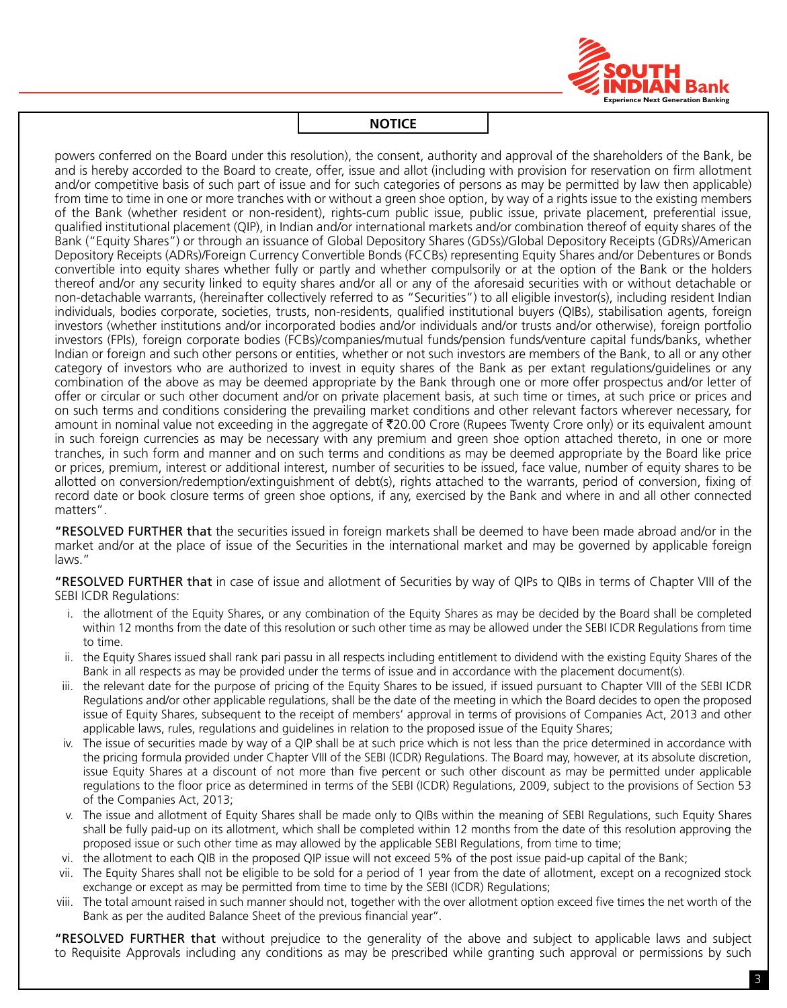

powers conferred on the Board under this resolution), the consent, authority and approval of the shareholders of the Bank, be and is hereby accorded to the Board to create, offer, issue and allot (including with provision for reservation on firm allotment and/or competitive basis of such part of issue and for such categories of persons as may be permitted by law then applicable) from time to time in one or more tranches with or without a green shoe option, by way of a rights issue to the existing members of the Bank (whether resident or non-resident), rights-cum public issue, public issue, private placement, preferential issue, qualified institutional placement (QIP), in Indian and/or international markets and/or combination thereof of equity shares of the Bank ("Equity Shares") or through an issuance of Global Depository Shares (GDSs)/Global Depository Receipts (GDRs)/American Depository Receipts (ADRs)/Foreign Currency Convertible Bonds (FCCBs) representing Equity Shares and/or Debentures or Bonds convertible into equity shares whether fully or partly and whether compulsorily or at the option of the Bank or the holders thereof and/or any security linked to equity shares and/or all or any of the aforesaid securities with or without detachable or non-detachable warrants, (hereinafter collectively referred to as "Securities") to all eligible investor(s), including resident Indian individuals, bodies corporate, societies, trusts, non-residents, qualified institutional buyers (QIBs), stabilisation agents, foreign investors (whether institutions and/or incorporated bodies and/or individuals and/or trusts and/or otherwise), foreign portfolio investors (FPIs), foreign corporate bodies (FCBs)/companies/mutual funds/pension funds/venture capital funds/banks, whether Indian or foreign and such other persons or entities, whether or not such investors are members of the Bank, to all or any other category of investors who are authorized to invest in equity shares of the Bank as per extant regulations/guidelines or any combination of the above as may be deemed appropriate by the Bank through one or more offer prospectus and/or letter of offer or circular or such other document and/or on private placement basis, at such time or times, at such price or prices and on such terms and conditions considering the prevailing market conditions and other relevant factors wherever necessary, for amount in nominal value not exceeding in the aggregate of  $\overline{20.00}$  Crore (Rupees Twenty Crore only) or its equivalent amount in such foreign currencies as may be necessary with any premium and green shoe option attached thereto, in one or more tranches, in such form and manner and on such terms and conditions as may be deemed appropriate by the Board like price or prices, premium, interest or additional interest, number of securities to be issued, face value, number of equity shares to be allotted on conversion/redemption/extinguishment of debt(s), rights attached to the warrants, period of conversion, fixing of record date or book closure terms of green shoe options, if any, exercised by the Bank and where in and all other connected matters".

"RESOLVED FURTHER that the securities issued in foreign markets shall be deemed to have been made abroad and/or in the market and/or at the place of issue of the Securities in the international market and may be governed by applicable foreign laws."

"RESOLVED FURTHER that in case of issue and allotment of Securities by way of QIPs to QIBs in terms of Chapter VIII of the SEBI ICDR Regulations:

- i. the allotment of the Equity Shares, or any combination of the Equity Shares as may be decided by the Board shall be completed within 12 months from the date of this resolution or such other time as may be allowed under the SEBI ICDR Regulations from time to time.
- ii. the Equity Shares issued shall rank pari passu in all respects including entitlement to dividend with the existing Equity Shares of the Bank in all respects as may be provided under the terms of issue and in accordance with the placement document(s).
- iii. the relevant date for the purpose of pricing of the Equity Shares to be issued, if issued pursuant to Chapter VIII of the SEBI ICDR Regulations and/or other applicable regulations, shall be the date of the meeting in which the Board decides to open the proposed issue of Equity Shares, subsequent to the receipt of members' approval in terms of provisions of Companies Act, 2013 and other applicable laws, rules, regulations and guidelines in relation to the proposed issue of the Equity Shares;
- iv. The issue of securities made by way of a QIP shall be at such price which is not less than the price determined in accordance with the pricing formula provided under Chapter VIII of the SEBI (ICDR) Regulations. The Board may, however, at its absolute discretion, issue Equity Shares at a discount of not more than five percent or such other discount as may be permitted under applicable regulations to the floor price as determined in terms of the SEBI (ICDR) Regulations, 2009, subject to the provisions of Section 53 of the Companies Act, 2013;
- v. The issue and allotment of Equity Shares shall be made only to QIBs within the meaning of SEBI Regulations, such Equity Shares shall be fully paid-up on its allotment, which shall be completed within 12 months from the date of this resolution approving the proposed issue or such other time as may allowed by the applicable SEBI Regulations, from time to time;
- vi. the allotment to each QIB in the proposed QIP issue will not exceed 5% of the post issue paid-up capital of the Bank;
- vii. The Equity Shares shall not be eligible to be sold for a period of 1 year from the date of allotment, except on a recognized stock exchange or except as may be permitted from time to time by the SEBI (ICDR) Regulations;
- viii. The total amount raised in such manner should not, together with the over allotment option exceed five times the net worth of the Bank as per the audited Balance Sheet of the previous financial year''.

"RESOLVED FURTHER that without prejudice to the generality of the above and subject to applicable laws and subject to Requisite Approvals including any conditions as may be prescribed while granting such approval or permissions by such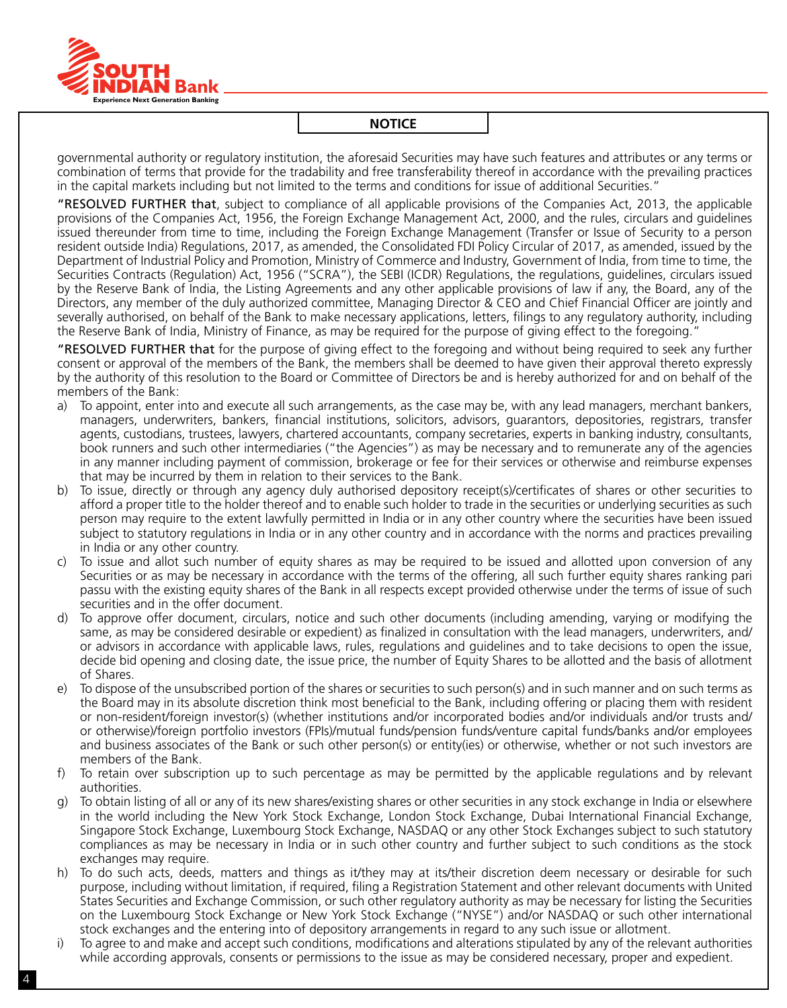

governmental authority or regulatory institution, the aforesaid Securities may have such features and attributes or any terms or combination of terms that provide for the tradability and free transferability thereof in accordance with the prevailing practices in the capital markets including but not limited to the terms and conditions for issue of additional Securities."

"RESOLVED FURTHER that, subject to compliance of all applicable provisions of the Companies Act, 2013, the applicable provisions of the Companies Act, 1956, the Foreign Exchange Management Act, 2000, and the rules, circulars and guidelines issued thereunder from time to time, including the Foreign Exchange Management (Transfer or Issue of Security to a person resident outside India) Regulations, 2017, as amended, the Consolidated FDI Policy Circular of 2017, as amended, issued by the Department of Industrial Policy and Promotion, Ministry of Commerce and Industry, Government of India, from time to time, the Securities Contracts (Regulation) Act, 1956 ("SCRA"), the SEBI (ICDR) Regulations, the regulations, guidelines, circulars issued by the Reserve Bank of India, the Listing Agreements and any other applicable provisions of law if any, the Board, any of the Directors, any member of the duly authorized committee, Managing Director & CEO and Chief Financial Officer are jointly and severally authorised, on behalf of the Bank to make necessary applications, letters, filings to any regulatory authority, including the Reserve Bank of India, Ministry of Finance, as may be required for the purpose of giving effect to the foregoing."

"RESOLVED FURTHER that for the purpose of giving effect to the foregoing and without being required to seek any further consent or approval of the members of the Bank, the members shall be deemed to have given their approval thereto expressly by the authority of this resolution to the Board or Committee of Directors be and is hereby authorized for and on behalf of the members of the Bank:

- a) To appoint, enter into and execute all such arrangements, as the case may be, with any lead managers, merchant bankers, managers, underwriters, bankers, financial institutions, solicitors, advisors, guarantors, depositories, registrars, transfer agents, custodians, trustees, lawyers, chartered accountants, company secretaries, experts in banking industry, consultants, book runners and such other intermediaries ("the Agencies") as may be necessary and to remunerate any of the agencies in any manner including payment of commission, brokerage or fee for their services or otherwise and reimburse expenses that may be incurred by them in relation to their services to the Bank.
- b) To issue, directly or through any agency duly authorised depository receipt(s)/certificates of shares or other securities to afford a proper title to the holder thereof and to enable such holder to trade in the securities or underlying securities as such person may require to the extent lawfully permitted in India or in any other country where the securities have been issued subject to statutory regulations in India or in any other country and in accordance with the norms and practices prevailing in India or any other country.
- c) To issue and allot such number of equity shares as may be required to be issued and allotted upon conversion of any Securities or as may be necessary in accordance with the terms of the offering, all such further equity shares ranking pari passu with the existing equity shares of the Bank in all respects except provided otherwise under the terms of issue of such securities and in the offer document.
- d) To approve offer document, circulars, notice and such other documents (including amending, varying or modifying the same, as may be considered desirable or expedient) as finalized in consultation with the lead managers, underwriters, and/ or advisors in accordance with applicable laws, rules, regulations and guidelines and to take decisions to open the issue, decide bid opening and closing date, the issue price, the number of Equity Shares to be allotted and the basis of allotment of Shares.
- e) To dispose of the unsubscribed portion of the shares or securities to such person(s) and in such manner and on such terms as the Board may in its absolute discretion think most beneficial to the Bank, including offering or placing them with resident or non-resident/foreign investor(s) (whether institutions and/or incorporated bodies and/or individuals and/or trusts and/ or otherwise)/foreign portfolio investors (FPIs)/mutual funds/pension funds/venture capital funds/banks and/or employees and business associates of the Bank or such other person(s) or entity(ies) or otherwise, whether or not such investors are members of the Bank.
- f) To retain over subscription up to such percentage as may be permitted by the applicable regulations and by relevant authorities.
- g) To obtain listing of all or any of its new shares/existing shares or other securities in any stock exchange in India or elsewhere in the world including the New York Stock Exchange, London Stock Exchange, Dubai International Financial Exchange, Singapore Stock Exchange, Luxembourg Stock Exchange, NASDAQ or any other Stock Exchanges subject to such statutory compliances as may be necessary in India or in such other country and further subject to such conditions as the stock exchanges may require.
- h) To do such acts, deeds, matters and things as it/they may at its/their discretion deem necessary or desirable for such purpose, including without limitation, if required, filing a Registration Statement and other relevant documents with United States Securities and Exchange Commission, or such other regulatory authority as may be necessary for listing the Securities on the Luxembourg Stock Exchange or New York Stock Exchange ("NYSE") and/or NASDAQ or such other international stock exchanges and the entering into of depository arrangements in regard to any such issue or allotment.
- i) To agree to and make and accept such conditions, modifications and alterations stipulated by any of the relevant authorities while according approvals, consents or permissions to the issue as may be considered necessary, proper and expedient.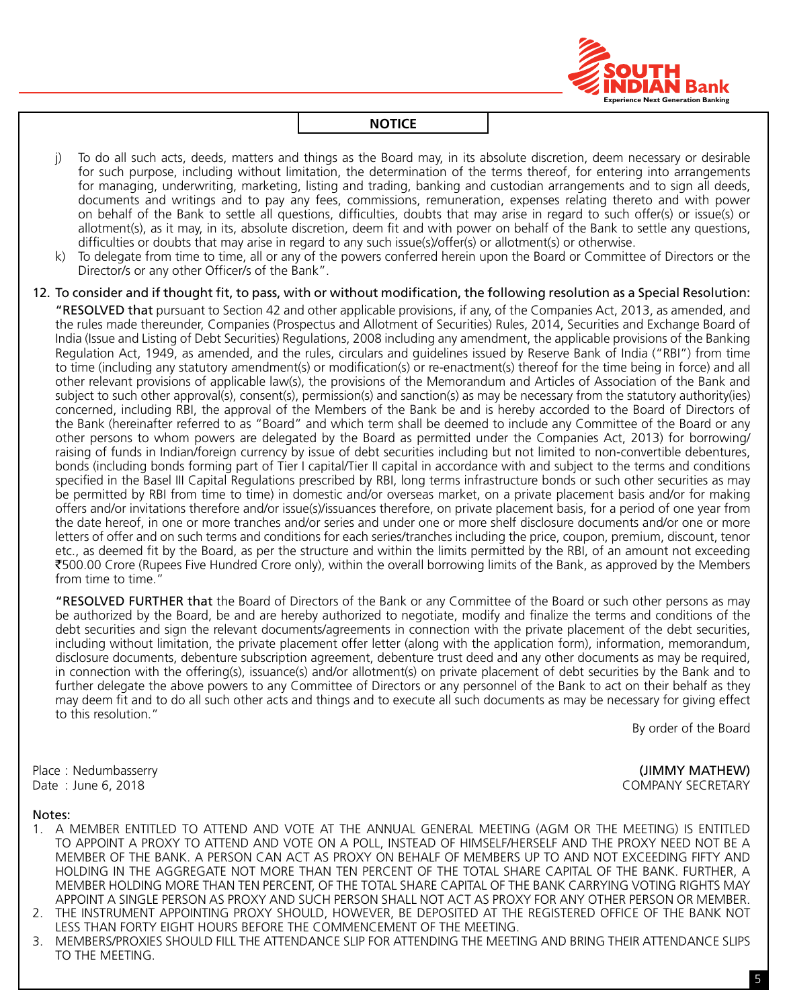

- j) To do all such acts, deeds, matters and things as the Board may, in its absolute discretion, deem necessary or desirable for such purpose, including without limitation, the determination of the terms thereof, for entering into arrangements for managing, underwriting, marketing, listing and trading, banking and custodian arrangements and to sign all deeds, documents and writings and to pay any fees, commissions, remuneration, expenses relating thereto and with power on behalf of the Bank to settle all questions, difficulties, doubts that may arise in regard to such offer(s) or issue(s) or allotment(s), as it may, in its, absolute discretion, deem fit and with power on behalf of the Bank to settle any questions, difficulties or doubts that may arise in regard to any such issue(s)/offer(s) or allotment(s) or otherwise.
- k) To delegate from time to time, all or any of the powers conferred herein upon the Board or Committee of Directors or the Director/s or any other Officer/s of the Bank".
- 12. To consider and if thought fit, to pass, with or without modification, the following resolution as a Special Resolution:

"RESOLVED that pursuant to Section 42 and other applicable provisions, if any, of the Companies Act, 2013, as amended, and the rules made thereunder, Companies (Prospectus and Allotment of Securities) Rules, 2014, Securities and Exchange Board of India (Issue and Listing of Debt Securities) Regulations, 2008 including any amendment, the applicable provisions of the Banking Regulation Act, 1949, as amended, and the rules, circulars and guidelines issued by Reserve Bank of India ("RBI") from time to time (including any statutory amendment(s) or modification(s) or re-enactment(s) thereof for the time being in force) and all other relevant provisions of applicable law(s), the provisions of the Memorandum and Articles of Association of the Bank and subject to such other approval(s), consent(s), permission(s) and sanction(s) as may be necessary from the statutory authority(ies) concerned, including RBI, the approval of the Members of the Bank be and is hereby accorded to the Board of Directors of the Bank (hereinafter referred to as "Board" and which term shall be deemed to include any Committee of the Board or any other persons to whom powers are delegated by the Board as permitted under the Companies Act, 2013) for borrowing/ raising of funds in Indian/foreign currency by issue of debt securities including but not limited to non-convertible debentures, bonds (including bonds forming part of Tier I capital/Tier II capital in accordance with and subject to the terms and conditions specified in the Basel III Capital Regulations prescribed by RBI, long terms infrastructure bonds or such other securities as may be permitted by RBI from time to time) in domestic and/or overseas market, on a private placement basis and/or for making offers and/or invitations therefore and/or issue(s)/issuances therefore, on private placement basis, for a period of one year from the date hereof, in one or more tranches and/or series and under one or more shelf disclosure documents and/or one or more letters of offer and on such terms and conditions for each series/tranches including the price, coupon, premium, discount, tenor etc., as deemed fit by the Board, as per the structure and within the limits permitted by the RBI, of an amount not exceeding `500.00 crore (Rupees Five Hundred Crore only), within the overall borrowing limits of the Bank, as approved by the Members from time to time."

"RESOLVED FURTHER that the Board of Directors of the Bank or any Committee of the Board or such other persons as may be authorized by the Board, be and are hereby authorized to negotiate, modify and finalize the terms and conditions of the debt securities and sign the relevant documents/agreements in connection with the private placement of the debt securities, including without limitation, the private placement offer letter (along with the application form), information, memorandum, disclosure documents, debenture subscription agreement, debenture trust deed and any other documents as may be required, in connection with the offering(s), issuance(s) and/or allotment(s) on private placement of debt securities by the Bank and to further delegate the above powers to any Committee of Directors or any personnel of the Bank to act on their behalf as they may deem fit and to do all such other acts and things and to execute all such documents as may be necessary for giving effect to this resolution."

By order of the Board

Place : Nedumbasserry **and the set of the set of the set of the set of the set of the set of the set of the set of the set of the set of the set of the set of the set of the set of the set of the set of the set of the set** Date : June 6, 2018 **COMPANY SECRETARY** 

#### Notes:

- 1. A MEMBER ENTITLED TO ATTEND AND VOTE AT THE ANNUAL GENERAL MEETING (AGM OR THE MEETING) IS ENTITLED TO APPOINT A PROXY TO ATTEND AND VOTE ON A POLL, INSTEAD OF HIMSELF/HERSELF AND THE PROXY NEED NOT BE A MEMBER OF THE BANK. A PERSON CAN ACT AS PROXY ON BEHALF OF MEMBERS UP TO AND NOT EXCEEDING FIFTY AND HOLDING IN THE AGGREGATE NOT MORE THAN TEN PERCENT OF THE TOTAL SHARE CAPITAL OF THE BANK. FURTHER, A MEMBER HOLDING MORE THAN TEN PERCENT, OF THE TOTAL SHARE CAPITAL OF THE BANK CARRYING VOTING RIGHTS MAY APPOINT A SINGLE PERSON AS PROXY AND SUCH PERSON SHALL NOT ACT AS PROXY FOR ANY OTHER PERSON OR MEMBER.
- 2. THE INSTRUMENT APPOINTING PROXY SHOULD, HOWEVER, BE DEPOSITED AT THE REGISTERED OFFICE OF THE BANK NOT LESS THAN FORTY EIGHT HOURS BEFORE THE COMMENCEMENT OF THE MEETING.
- 3. MEMBERS/PROXIES SHOULD FILL THE ATTENDANCE SLIP FOR ATTENDING THE MEETING AND BRING THEIR ATTENDANCE SLIPS TO THE MEETING.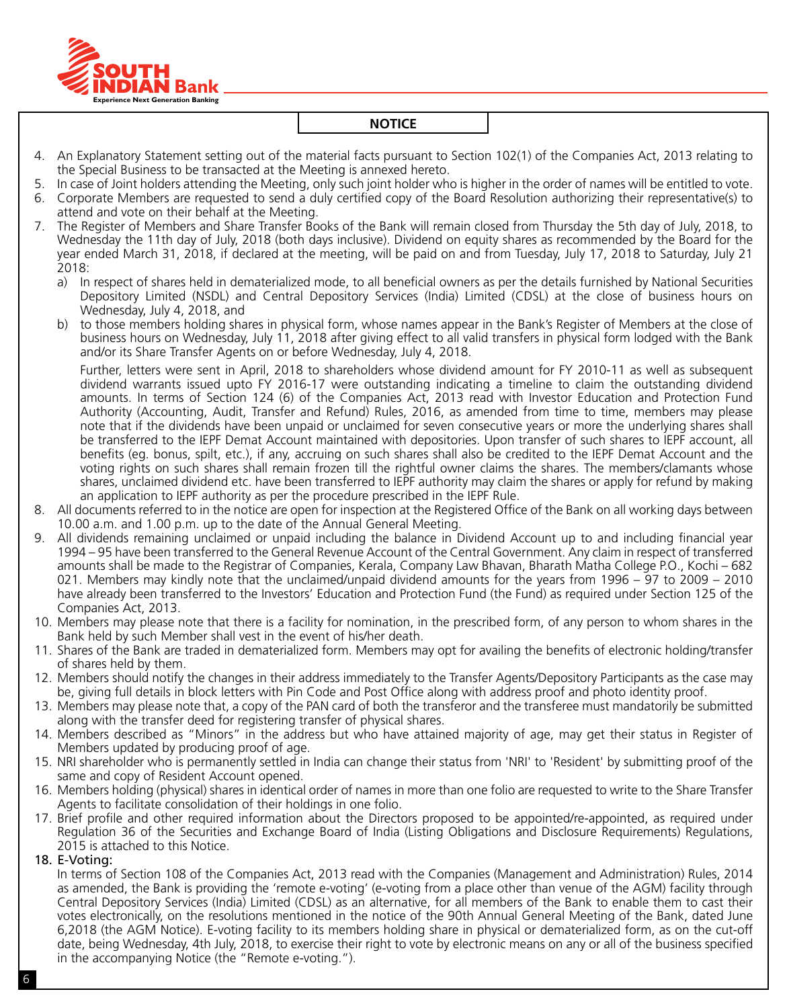

- 4. An Explanatory Statement setting out of the material facts pursuant to Section 102(1) of the Companies Act, 2013 relating to the Special Business to be transacted at the Meeting is annexed hereto.
- 5. In case of Joint holders attending the Meeting, only such joint holder who is higher in the order of names will be entitled to vote.
- 6. Corporate Members are requested to send a duly certified copy of the Board Resolution authorizing their representative(s) to attend and vote on their behalf at the Meeting.
- 7. The Register of Members and Share Transfer Books of the Bank will remain closed from Thursday the 5th day of July, 2018, to Wednesday the 11th day of July, 2018 (both days inclusive). Dividend on equity shares as recommended by the Board for the year ended March 31, 2018, if declared at the meeting, will be paid on and from Tuesday, July 17, 2018 to Saturday, July 21 2018:
	- a) In respect of shares held in dematerialized mode, to all beneficial owners as per the details furnished by National Securities Depository Limited (NSDL) and Central Depository Services (India) Limited (CDSL) at the close of business hours on Wednesday, July 4, 2018, and
	- b) to those members holding shares in physical form, whose names appear in the Bank's Register of Members at the close of business hours on Wednesday, July 11, 2018 after giving effect to all valid transfers in physical form lodged with the Bank and/or its Share Transfer Agents on or before Wednesday, July 4, 2018.

Further, letters were sent in April, 2018 to shareholders whose dividend amount for FY 2010-11 as well as subsequent dividend warrants issued upto FY 2016-17 were outstanding indicating a timeline to claim the outstanding dividend amounts. In terms of Section 124 (6) of the Companies Act, 2013 read with Investor Education and Protection Fund Authority (Accounting, Audit, Transfer and Refund) Rules, 2016, as amended from time to time, members may please note that if the dividends have been unpaid or unclaimed for seven consecutive years or more the underlying shares shall be transferred to the IEPF Demat Account maintained with depositories. Upon transfer of such shares to IEPF account, all benefits (eg. bonus, spilt, etc.), if any, accruing on such shares shall also be credited to the IEPF Demat Account and the voting rights on such shares shall remain frozen till the rightful owner claims the shares. The members/clamants whose shares, unclaimed dividend etc. have been transferred to IEPF authority may claim the shares or apply for refund by making an application to IEPF authority as per the procedure prescribed in the IEPF Rule.

- 8. All documents referred to in the notice are open for inspection at the Registered Office of the Bank on all working days between 10.00 a.m. and 1.00 p.m. up to the date of the Annual General Meeting.
- 9. All dividends remaining unclaimed or unpaid including the balance in Dividend Account up to and including financial year 1994 – 95 have been transferred to the General Revenue Account of the Central Government. Any claim in respect of transferred amounts shall be made to the Registrar of Companies, Kerala, Company Law Bhavan, Bharath Matha College P.O., Kochi – 682 021. Members may kindly note that the unclaimed/unpaid dividend amounts for the years from 1996 – 97 to 2009 – 2010 have already been transferred to the Investors' Education and Protection Fund (the Fund) as required under Section 125 of the Companies Act, 2013.
- 10. Members may please note that there is a facility for nomination, in the prescribed form, of any person to whom shares in the Bank held by such Member shall vest in the event of his/her death.
- 11. Shares of the Bank are traded in dematerialized form. Members may opt for availing the benefits of electronic holding/transfer of shares held by them.
- 12. Members should notify the changes in their address immediately to the Transfer Agents/Depository Participants as the case may be, giving full details in block letters with Pin Code and Post Office along with address proof and photo identity proof.
- 13. Members may please note that, a copy of the PAN card of both the transferor and the transferee must mandatorily be submitted along with the transfer deed for registering transfer of physical shares.
- 14. Members described as "Minors" in the address but who have attained majority of age, may get their status in Register of Members updated by producing proof of age.
- 15. NRI shareholder who is permanently settled in India can change their status from 'NRI' to 'Resident' by submitting proof of the same and copy of Resident Account opened.
- 16. Members holding (physical) shares in identical order of names in more than one folio are requested to write to the Share Transfer Agents to facilitate consolidation of their holdings in one folio.
- 17. Brief profile and other required information about the Directors proposed to be appointed/re-appointed, as required under Regulation 36 of the Securities and Exchange Board of India (Listing Obligations and Disclosure Requirements) Regulations, 2015 is attached to this Notice.
- 18. E-Voting:

In terms of Section 108 of the Companies Act, 2013 read with the Companies (Management and Administration) Rules, 2014 as amended, the Bank is providing the 'remote e-voting' (e-voting from a place other than venue of the AGM) facility through Central Depository Services (India) Limited (CDSL) as an alternative, for all members of the Bank to enable them to cast their votes electronically, on the resolutions mentioned in the notice of the 90th Annual General Meeting of the Bank, dated June 6,2018 (the AGM Notice). E-voting facility to its members holding share in physical or dematerialized form, as on the cut-off date, being Wednesday, 4th July, 2018, to exercise their right to vote by electronic means on any or all of the business specified in the accompanying Notice (the "Remote e-voting.").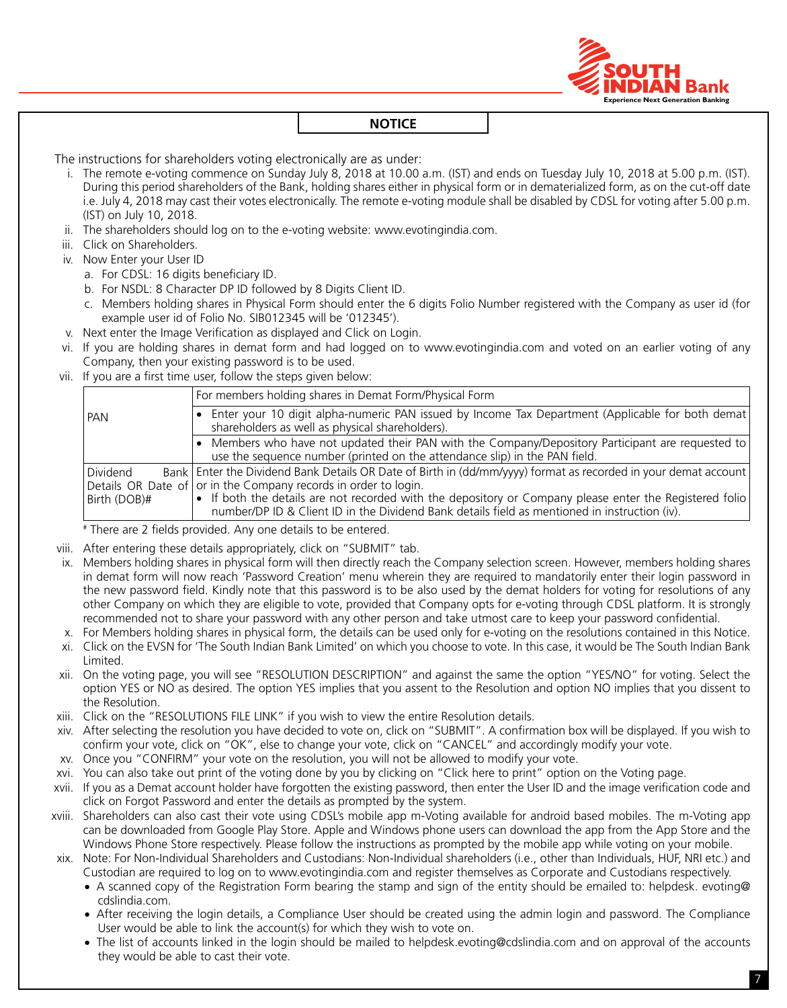

The instructions for shareholders voting electronically are as under:

- i. The remote e-voting commence on Sunday July 8, 2018 at 10.00 a.m. (IST) and ends on Tuesday July 10, 2018 at 5.00 p.m. (IST). During this period shareholders of the Bank, holding shares either in physical form or in dematerialized form, as on the cut-off date i.e. July 4, 2018 may cast their votes electronically. The remote e-voting module shall be disabled by CDSL for voting after 5.00 p.m. (IST) on July 10, 2018.
- ii. The shareholders should log on to the e-voting website: www.evotingindia.com.
- iii. Click on Shareholders.
- iv. Now Enter your User ID
	- a. For CDSL: 16 digits beneficiary ID.
	- b. For NSDL: 8 Character DP ID followed by 8 Digits Client ID.
	- c. Members holding shares in Physical Form should enter the 6 digits Folio Number registered with the Company as user id (for example user id of Folio No. SIB012345 will be '012345').
- v. Next enter the Image Verification as displayed and Click on Login.
- vi. If you are holding shares in demat form and had logged on to www.evotingindia.com and voted on an earlier voting of any company, then your existing password is to be used.
- vii. If you are a first time user, follow the steps given below:

|                          | For members holding shares in Demat Form/Physical Form                                                                                                                                                                                                                                                                                                                                            |
|--------------------------|---------------------------------------------------------------------------------------------------------------------------------------------------------------------------------------------------------------------------------------------------------------------------------------------------------------------------------------------------------------------------------------------------|
| PAN                      | Enter your 10 digit alpha-numeric PAN issued by Income Tax Department (Applicable for both demat<br>$\bullet$<br>shareholders as well as physical shareholders).                                                                                                                                                                                                                                  |
|                          | Members who have not updated their PAN with the Company/Depository Participant are requested to<br>use the sequence number (printed on the attendance slip) in the PAN field.                                                                                                                                                                                                                     |
| Dividend<br>Birth (DOB)# | Bank   Enter the Dividend Bank Details OR Date of Birth in (dd/mm/yyyy) format as recorded in your demat account  <br>Details OR Date of or in the Company records in order to login.<br>• If both the details are not recorded with the depository or Company please enter the Registered folio<br>number/DP ID & Client ID in the Dividend Bank details field as mentioned in instruction (iv). |

# There are 2 fields provided. Any one details to be entered.

- viii. After entering these details appropriately, click on "SUBMIT" tab.
- ix. Members holding shares in physical form will then directly reach the Company selection screen. However, members holding shares in demat form will now reach 'Password Creation' menu wherein they are required to mandatorily enter their login password in the new password field. Kindly note that this password is to be also used by the demat holders for voting for resolutions of any other company on which they are eligible to vote, provided that company opts for e-voting through CDSL platform. It is strongly recommended not to share your password with any other person and take utmost care to keep your password confidential.
- x. For Members holding shares in physical form, the details can be used only for e-voting on the resolutions contained in this Notice.
- xi. Click on the EVSN for 'The South Indian Bank Limited' on which you choose to vote. In this case, it would be The South Indian Bank Limited.
- xii. On the voting page, you will see "RESOLUTION DESCRIPTION" and against the same the option "YES/NO" for voting. Select the option YES or NO as desired. The option YES implies that you assent to the Resolution and option NO implies that you dissent to the Resolution.
- xiii. Click on the "RESOLUTIONS FILE LINK" if you wish to view the entire Resolution details.
- xiv. After selecting the resolution you have decided to vote on, click on "SUBMIT". A confirmation box will be displayed. If you wish to confirm your vote, click on "OK", else to change your vote, click on "CANCEL" and accordingly modify your vote.
- xv. Once you "CONFIRM" your vote on the resolution, you will not be allowed to modify your vote.
- xvi. You can also take out print of the voting done by you by clicking on "Click here to print" option on the Voting page.
- xvii. If you as a Demat account holder have forgotten the existing password, then enter the User ID and the image verification code and click on Forgot Password and enter the details as prompted by the system.
- xviii. Shareholders can also cast their vote using CDSL's mobile app m-Voting available for android based mobiles. The m-Voting app can be downloaded from Google Play Store. Apple and Windows phone users can download the app from the App Store and the Windows Phone Store respectively. Please follow the instructions as prompted by the mobile app while voting on your mobile.
- xix. Note: For Non-Individual Shareholders and Custodians: Non-Individual shareholders (i.e., other than Individuals, HUF, NRI etc.) and Custodian are required to log on to www.evotingindia.com and register themselves as Corporate and Custodians respectively.
	- A scanned copy of the Registration Form bearing the stamp and sign of the entity should be emailed to: helpdesk. evoting@ cdslindia.com.
	- After receiving the login details, a Compliance User should be created using the admin login and password. The Compliance User would be able to link the account(s) for which they wish to vote on.
	- The list of accounts linked in the login should be mailed to helpdesk.evoting@cdslindia.com and on approval of the accounts they would be able to cast their vote.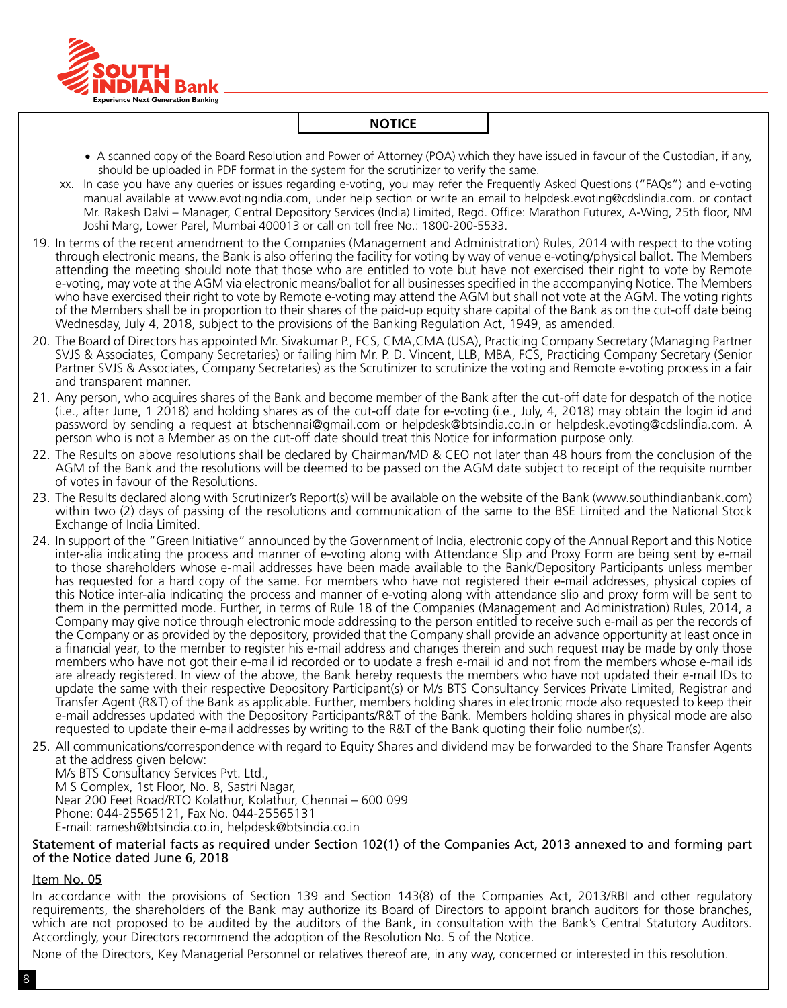

- • A scanned copy of the Board Resolution and Power of Attorney (POA) which they have issued in favour of the Custodian, if any, should be uploaded in PDF format in the system for the scrutinizer to verify the same.
- xx. In case you have any queries or issues regarding e-voting, you may refer the Frequently Asked Questions ("FAQs") and e-voting manual available at www.evotingindia.com, under help section or write an email to helpdesk.evoting@cdslindia.com. or contact Mr. Rakesh Dalvi – Manager, Central Depository Services (India) Limited, Regd. Office: Marathon Futurex, A-Wing, 25th floor, NM Joshi Marg, Lower Parel, Mumbai 400013 or call on toll free No.: 1800-200-5533.
- 19. In terms of the recent amendment to the Companies (Management and Administration) Rules, 2014 with respect to the voting through electronic means, the Bank is also offering the facility for voting by way of venue e-voting/physical ballot. The Members attending the meeting should note that those who are entitled to vote but have not exercised their right to vote by Remote e-voting, may vote at the AGM via electronic means/ballot for all businesses specified in the accompanying Notice. The Members who have exercised their right to vote by Remote e-voting may attend the AGM but shall not vote at the AGM. The voting rights of the Members shall be in proportion to their shares of the paid-up equity share capital of the Bank as on the cut-off date being Wednesday, July 4, 2018, subject to the provisions of the Banking Regulation Act, 1949, as amended.
- 20. The Board of Directors has appointed Mr. Sivakumar P., FCS, CMA,CMA (USA), Practicing Company Secretary (Managing Partner SVJS & Associates, Company Secretaries) or failing him Mr. P. D. Vincent, LLB, MBA, FCS, Practicing Company Secretary (Senior Partner SVJS & Associates, Company Secretaries) as the Scrutinizer to scrutinize the voting and Remote e-voting process in a fair and transparent manner.
- 21. Any person, who acquires shares of the Bank and become member of the Bank after the cut-off date for despatch of the notice (i.e., after June, 1 2018) and holding shares as of the cut-off date for e-voting (i.e., July, 4, 2018) may obtain the login id and password by sending a request at btschennai@gmail.com or helpdesk@btsindia.co.in or helpdesk.evoting@cdslindia.com. A person who is not a Member as on the cut-off date should treat this Notice for information purpose only.
- 22. The Results on above resolutions shall be declared by Chairman/MD & CEO not later than 48 hours from the conclusion of the AGM of the Bank and the resolutions will be deemed to be passed on the AGM date subject to receipt of the requisite number of votes in favour of the Resolutions.
- 23. The Results declared along with Scrutinizer's Report(s) will be available on the website of the Bank (www.southindianbank.com) within two (2) days of passing of the resolutions and communication of the same to the BSE Limited and the National Stock Exchange of India Limited.
- 24. In support of the "Green Initiative" announced by the Government of India, electronic copy of the Annual Report and this Notice inter-alia indicating the process and manner of e-voting along with Attendance Slip and Proxy Form are being sent by e-mail to those shareholders whose e-mail addresses have been made available to the Bank/Depository Participants unless member has requested for a hard copy of the same. For members who have not registered their e-mail addresses, physical copies of this Notice inter-alia indicating the process and manner of e-voting along with attendance slip and proxy form will be sent to them in the permitted mode. Further, in terms of Rule 18 of the Companies (Management and Administration) Rules, 2014, a company may give notice through electronic mode addressing to the person entitled to receive such e-mail as per the records of the company or as provided by the depository, provided that the company shall provide an advance opportunity at least once in a financial year, to the member to register his e-mail address and changes therein and such request may be made by only those members who have not got their e-mail id recorded or to update a fresh e-mail id and not from the members whose e-mail ids are already registered. In view of the above, the Bank hereby requests the members who have not updated their e-mail IDs to update the same with their respective Depository Participant(s) or M/s BTS Consultancy Services Private Limited, Registrar and Transfer Agent (R&T) of the Bank as applicable. Further, members holding shares in electronic mode also requested to keep their e-mail addresses updated with the Depository Participants/R&T of the Bank. Members holding shares in physical mode are also requested to update their e-mail addresses by writing to the R&T of the Bank quoting their folio number(s).
- 25. All communications/correspondence with regard to Equity Shares and dividend may be forwarded to the Share Transfer Agents at the address given below:

M/s BTS Consultancy Services Pvt. Ltd., M S Complex, 1st Floor, No. 8, Sastri Nagar, Near 200 Feet Road/RTO Kolathur, Kolathur, Chennai – 600 099 Phone: 044-25565121, Fax No. 044-25565131 E-mail: ramesh@btsindia.co.in, helpdesk@btsindia.co.in

Statement of material facts as required under Section 102(1) of the Companies Act, 2013 annexed to and forming part of the Notice dated June 6, 2018

#### Item No. 05

In accordance with the provisions of Section 139 and Section 143(8) of the Companies Act, 2013/RBI and other regulatory requirements, the shareholders of the Bank may authorize its Board of Directors to appoint branch auditors for those branches, which are not proposed to be audited by the auditors of the Bank, in consultation with the Bank's Central Statutory Auditors. Accordingly, your Directors recommend the adoption of the Resolution No. 5 of the Notice.

None of the Directors, Key Managerial Personnel or relatives thereof are, in any way, concerned or interested in this resolution.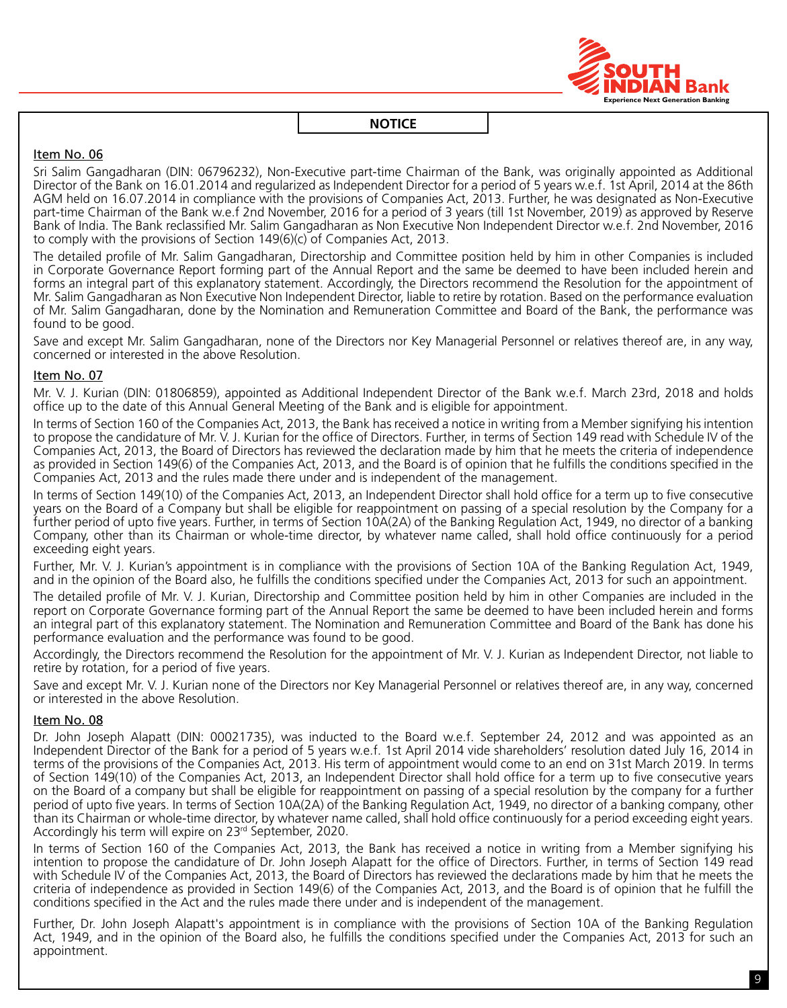

# Item No. 06

Sri Salim Gangadharan (DIN: 06796232), Non-Executive part-time Chairman of the Bank, was originally appointed as Additional Director of the Bank on 16.01.2014 and regularized as Independent Director for a period of 5 years w.e.f. 1st April, 2014 at the 86th AGM held on 16.07.2014 in compliance with the provisions of Companies Act, 2013. Further, he was designated as Non-Executive part-time Chairman of the Bank w.e.f 2nd November, 2016 for a period of 3 years (till 1st November, 2019) as approved by Reserve Bank of India. The Bank reclassified Mr. Salim Gangadharan as Non Executive Non Independent Director w.e.f. 2nd November, 2016 to comply with the provisions of Section 149(6)(c) of Companies Act, 2013.

The detailed profile of Mr. Salim Gangadharan, Directorship and Committee position held by him in other Companies is included in Corporate Governance Report forming part of the Annual Report and the same be deemed to have been included herein and forms an integral part of this explanatory statement. Accordingly, the Directors recommend the Resolution for the appointment of Mr. Salim Gangadharan as Non Executive Non Independent Director, liable to retire by rotation. Based on the performance evaluation of Mr. Salim Gangadharan, done by the Nomination and Remuneration Committee and Board of the Bank, the performance was found to be good.

Save and except Mr. Salim Gangadharan, none of the Directors nor Key Managerial Personnel or relatives thereof are, in any way, concerned or interested in the above Resolution.

# Item No. 07

Mr. V. J. Kurian (DIN: 01806859), appointed as Additional Independent Director of the Bank w.e.f. March 23rd, 2018 and holds office up to the date of this Annual General Meeting of the Bank and is eligible for appointment.

In terms of Section 160 of the Companies Act, 2013, the Bank has received a notice in writing from a Member signifying his intention to propose the candidature of Mr. V. J. Kurian for the office of Directors. Further, in terms of Section 149 read with Schedule IV of the Companies Act, 2013, the Board of Directors has reviewed the declaration made by him that he meets the criteria of independence as provided in Section 149(6) of the Companies Act, 2013, and the Board is of opinion that he fulfills the conditions specified in the Companies Act, 2013 and the rules made there under and is independent of the management.

In terms of Section 149(10) of the Companies Act, 2013, an Independent Director shall hold office for a term up to five consecutive years on the Board of a company but shall be eligible for reappointment on passing of a special resolution by the company for a further period of upto five years. Further, in terms of Section 10A(2A) of the Banking Regulation Act, 1949, no director of a banking company, other than its Chairman or whole-time director, by whatever name called, shall hold office continuously for a period exceeding eight years.

Further, Mr. V. J. Kurian's appointment is in compliance with the provisions of Section 10A of the Banking Regulation Act, 1949, and in the opinion of the Board also, he fulfills the conditions specified under the Companies Act, 2013 for such an appointment.

The detailed profile of Mr. V. J. Kurian, Directorship and Committee position held by him in other Companies are included in the report on Corporate Governance forming part of the Annual Report the same be deemed to have been included herein and forms an integral part of this explanatory statement. The Nomination and Remuneration Committee and Board of the Bank has done his performance evaluation and the performance was found to be good.

Accordingly, the Directors recommend the Resolution for the appointment of Mr. V. J. Kurian as Independent Director, not liable to retire by rotation, for a period of five years.

Save and except Mr. V. J. Kurian none of the Directors nor Key Managerial Personnel or relatives thereof are, in any way, concerned or interested in the above Resolution.

#### Item No. 08

Dr. John Joseph Alapatt (DIN: 00021735), was inducted to the Board w.e.f. September 24, 2012 and was appointed as an Independent Director of the Bank for a period of 5 years w.e.f. 1st April 2014 vide shareholders' resolution dated July 16, 2014 in terms of the provisions of the Companies Act, 2013. His term of appointment would come to an end on 31st March 2019. In terms of Section 149(10) of the Companies Act, 2013, an Independent Director shall hold office for a term up to five consecutive years on the Board of a company but shall be eligible for reappointment on passing of a special resolution by the company for a further period of upto five years. In terms of Section 10A(2A) of the Banking Regulation Act, 1949, no director of a banking company, other than its Chairman or whole-time director, by whatever name called, shall hold office continuously for a period exceeding eight years. Accordingly his term will expire on 23<sup>rd</sup> September, 2020.

In terms of Section 160 of the Companies Act, 2013, the Bank has received a notice in writing from a Member signifying his intention to propose the candidature of Dr. John Joseph Alapatt for the office of Directors. Further, in terms of Section 149 read with Schedule IV of the Companies Act, 2013, the Board of Directors has reviewed the declarations made by him that he meets the criteria of independence as provided in Section 149(6) of the Companies Act, 2013, and the Board is of opinion that he fulfill the conditions specified in the Act and the rules made there under and is independent of the management.

Further, Dr. John Joseph Alapatt's appointment is in compliance with the provisions of Section 10A of the Banking Regulation Act, 1949, and in the opinion of the Board also, he fulfills the conditions specified under the Companies Act, 2013 for such an appointment.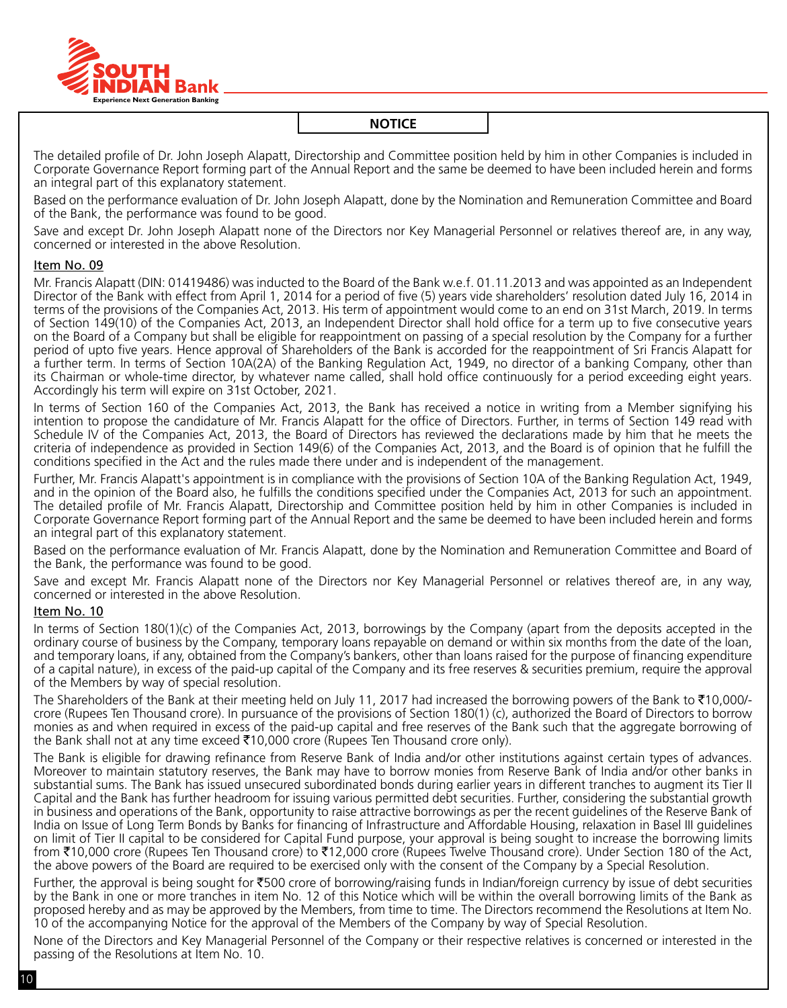

The detailed profile of Dr. John Joseph Alapatt, Directorship and Committee position held by him in other Companies is included in Corporate Governance Report forming part of the Annual Report and the same be deemed to have been included herein and forms an integral part of this explanatory statement.

Based on the performance evaluation of Dr. John Joseph Alapatt, done by the Nomination and Remuneration Committee and Board of the Bank, the performance was found to be good.

Save and except Dr. John Joseph Alapatt none of the Directors nor Key Managerial Personnel or relatives thereof are, in any way, concerned or interested in the above Resolution.

#### Item No. 09

Mr. Francis Alapatt (DIN: 01419486) was inducted to the Board of the Bank w.e.f. 01.11.2013 and was appointed as an Independent Director of the Bank with effect from April 1, 2014 for a period of five (5) years vide shareholders' resolution dated July 16, 2014 in terms of the provisions of the Companies Act, 2013. His term of appointment would come to an end on 31st March, 2019. In terms of Section 149(10) of the Companies Act, 2013, an Independent Director shall hold office for a term up to five consecutive years on the Board of a company but shall be eligible for reappointment on passing of a special resolution by the company for a further period of upto five years. Hence approval of Shareholders of the Bank is accorded for the reappointment of Sri Francis Alapatt for a further term. In terms of Section 10A(2A) of the Banking Regulation Act, 1949, no director of a banking company, other than its Chairman or whole-time director, by whatever name called, shall hold office continuously for a period exceeding eight years. Accordingly his term will expire on 31st October, 2021.

In terms of Section 160 of the Companies Act, 2013, the Bank has received a notice in writing from a Member signifying his intention to propose the candidature of Mr. Francis Alapatt for the office of Directors. Further, in terms of Section 149 read with Schedule IV of the Companies Act, 2013, the Board of Directors has reviewed the declarations made by him that he meets the criteria of independence as provided in Section 149(6) of the Companies Act, 2013, and the Board is of opinion that he fulfill the conditions specified in the Act and the rules made there under and is independent of the management.

Further, Mr. Francis Alapatt's appointment is in compliance with the provisions of Section 10A of the Banking Regulation Act, 1949, and in the opinion of the Board also, he fulfills the conditions specified under the Companies Act, 2013 for such an appointment. The detailed profile of Mr. Francis Alapatt, Directorship and Committee position held by him in other Companies is included in Corporate Governance Report forming part of the Annual Report and the same be deemed to have been included herein and forms an integral part of this explanatory statement.

Based on the performance evaluation of Mr. Francis Alapatt, done by the Nomination and Remuneration Committee and Board of the Bank, the performance was found to be good.

Save and except Mr. Francis Alapatt none of the Directors nor Key Managerial Personnel or relatives thereof are, in any way, concerned or interested in the above Resolution.

#### Item No. 10

In terms of Section 180(1)(c) of the Companies Act, 2013, borrowings by the Company (apart from the deposits accepted in the ordinary course of business by the Company, temporary loans repayable on demand or within six months from the date of the loan, and temporary loans, if any, obtained from the Company's bankers, other than loans raised for the purpose of financing expenditure of a capital nature), in excess of the paid-up capital of the Company and its free reserves & securities premium, require the approval of the Members by way of special resolution.

The Shareholders of the Bank at their meeting held on July 11, 2017 had increased the borrowing powers of the Bank to  $\overline{10,000/-}$ crore (Rupees Ten Thousand crore). In pursuance of the provisions of Section 180(1) (c), authorized the Board of Directors to borrow monies as and when required in excess of the paid-up capital and free reserves of the Bank such that the aggregate borrowing of the Bank shall not at any time exceed  $\text{\texttt{[10,000]}}$  crore (Rupees Ten Thousand crore only).

The Bank is eligible for drawing refinance from Reserve Bank of India and/or other institutions against certain types of advances. Moreover to maintain statutory reserves, the Bank may have to borrow monies from Reserve Bank of India and/or other banks in substantial sums. The Bank has issued unsecured subordinated bonds during earlier years in different tranches to augment its Tier II Capital and the Bank has further headroom for issuing various permitted debt securities. Further, considering the substantial growth in business and operations of the Bank, opportunity to raise attractive borrowings as per the recent guidelines of the Reserve Bank of India on Issue of Long Term Bonds by Banks for financing of Infrastructure and Affordable Housing, relaxation in Basel III guidelines on limit of Tier II capital to be considered for Capital Fund purpose, your approval is being sought to increase the borrowing limits from ₹10,000 crore (Rupees Ten Thousand crore) to ₹12,000 crore (Rupees Twelve Thousand crore). Under Section 180 of the Act, the above powers of the Board are required to be exercised only with the consent of the company by a Special Resolution.

Further, the approval is being sought for  $\overline{500}$  crore of borrowing/raising funds in Indian/foreign currency by issue of debt securities by the Bank in one or more tranches in item No. 12 of this Notice which will be within the overall borrowing limits of the Bank as proposed hereby and as may be approved by the Members, from time to time. The Directors recommend the Resolutions at Item No. 10 of the accompanying Notice for the approval of the Members of the Company by way of Special Resolution.

None of the Directors and Key Managerial Personnel of the Company or their respective relatives is concerned or interested in the passing of the Resolutions at Item No. 10.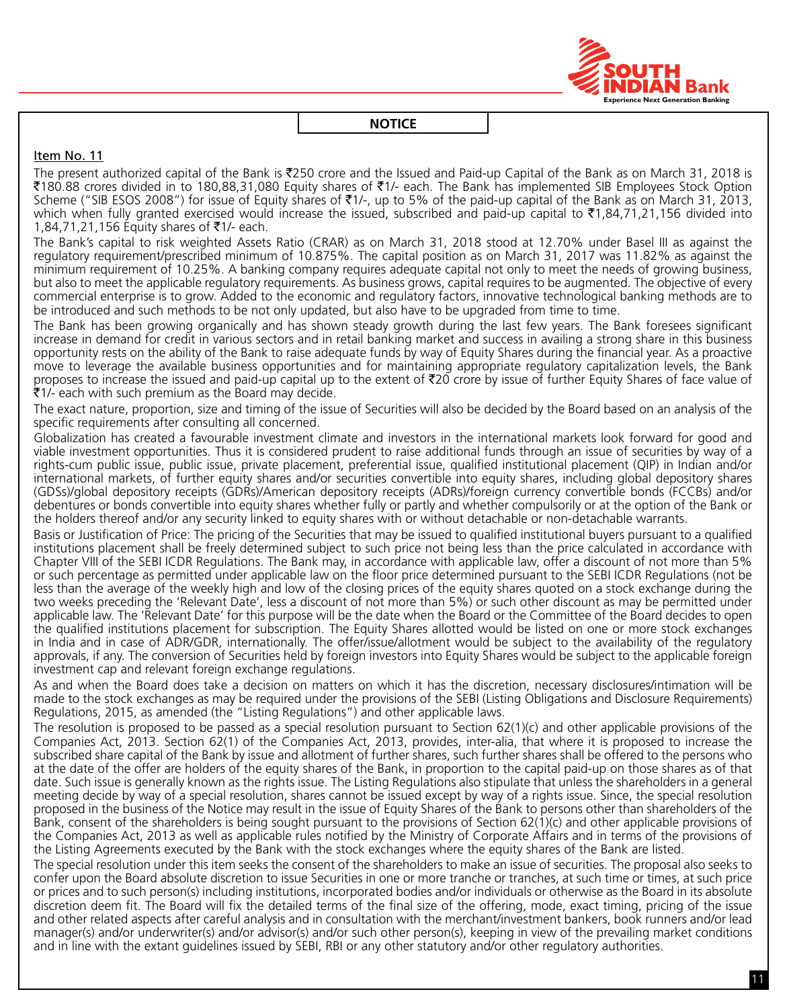

#### Item No. 11

The present authorized capital of the Bank is  $\overline{2}250$  crore and the Issued and Paid-up Capital of the Bank as on March 31, 2018 is `180.88 crores divided in to 180,88,31,080 Equity shares of `1/- each. The Bank has implemented SIB Employees Stock Option Scheme ("SIB ESOS 2008") for issue of Equity shares of ₹1/-, up to 5% of the paid-up capital of the Bank as on March 31, 2013, which when fully granted exercised would increase the issued, subscribed and paid-up capital to  $\bar{\tau}1,84,71,21,156$  divided into 1,84,71,21,156 Equity shares of ₹1/- each.

The Bank's capital to risk weighted Assets Ratio (CRAR) as on March 31, 2018 stood at 12.70% under Basel III as against the regulatory requirement/prescribed minimum of 10.875%. The capital position as on March 31, 2017 was 11.82% as against the minimum requirement of 10.25%. A banking company requires adequate capital not only to meet the needs of growing business, but also to meet the applicable regulatory requirements. As business grows, capital requires to be augmented. The objective of every commercial enterprise is to grow. Added to the economic and regulatory factors, innovative technological banking methods are to be introduced and such methods to be not only updated, but also have to be upgraded from time to time.

The Bank has been growing organically and has shown steady growth during the last few years. The Bank foresees significant increase in demand for credit in various sectors and in retail banking market and success in availing a strong share in this business opportunity rests on the ability of the Bank to raise adequate funds by way of Equity Shares during the financial year. As a proactive move to leverage the available business opportunities and for maintaining appropriate regulatory capitalization levels, the Bank proposes to increase the issued and paid-up capital up to the extent of  $\bar{\tau}$ 20 crore by issue of further Equity Shares of face value of  $\bar{x}$ 1/- each with such premium as the Board may decide.

The exact nature, proportion, size and timing of the issue of Securities will also be decided by the Board based on an analysis of the specific requirements after consulting all concerned.

Globalization has created a favourable investment climate and investors in the international markets look forward for good and viable investment opportunities. Thus it is considered prudent to raise additional funds through an issue of securities by way of a rights-cum public issue, public issue, private placement, preferential issue, qualified institutional placement (QIP) in Indian and/or international markets, of further equity shares and/or securities convertible into equity shares, including global depository shares (GDSs)/global depository receipts (GDRs)/American depository receipts (ADRs)/foreign currency convertible bonds (FCCBs) and/or debentures or bonds convertible into equity shares whether fully or partly and whether compulsorily or at the option of the Bank or the holders thereof and/or any security linked to equity shares with or without detachable or non-detachable warrants.

Basis or Justification of Price: The pricing of the Securities that may be issued to qualified institutional buyers pursuant to a qualified institutions placement shall be freely determined subject to such price not being less than the price calculated in accordance with Chapter VIII of the SEBI ICDR Regulations. The Bank may, in accordance with applicable law, offer a discount of not more than 5% or such percentage as permitted under applicable law on the floor price determined pursuant to the SEBI ICDR Regulations (not be less than the average of the weekly high and low of the closing prices of the equity shares quoted on a stock exchange during the two weeks preceding the 'Relevant Date', less a discount of not more than 5%) or such other discount as may be permitted under applicable law. The 'Relevant Date' for this purpose will be the date when the Board or the Committee of the Board decides to open the qualified institutions placement for subscription. The Equity Shares allotted would be listed on one or more stock exchanges in India and in case of ADR/GDR, internationally. The offer/issue/allotment would be subject to the availability of the regulatory approvals, if any. The conversion of Securities held by foreign investors into Equity Shares would be subject to the applicable foreign investment cap and relevant foreign exchange regulations.

As and when the Board does take a decision on matters on which it has the discretion, necessary disclosures/intimation will be made to the stock exchanges as may be required under the provisions of the SEBI (Listing Obligations and Disclosure Requirements) Regulations, 2015, as amended (the "Listing Regulations") and other applicable laws.

The resolution is proposed to be passed as a special resolution pursuant to Section  $62(1)(c)$  and other applicable provisions of the Companies Act, 2013. Section 62(1) of the Companies Act, 2013, provides, inter-alia, that where it is proposed to increase the subscribed share capital of the Bank by issue and allotment of further shares, such further shares shall be offered to the persons who at the date of the offer are holders of the equity shares of the Bank, in proportion to the capital paid-up on those shares as of that date. Such issue is generally known as the rights issue. The Listing Regulations also stipulate that unless the shareholders in a general meeting decide by way of a special resolution, shares cannot be issued except by way of a rights issue. Since, the special resolution proposed in the business of the Notice may result in the issue of Equity Shares of the Bank to persons other than shareholders of the Bank, consent of the shareholders is being sought pursuant to the provisions of Section 62(1)(c) and other applicable provisions of the Companies Act, 2013 as well as applicable rules notified by the Ministry of Corporate Affairs and in terms of the provisions of the Listing Agreements executed by the Bank with the stock exchanges where the equity shares of the Bank are listed.

The special resolution under this item seeks the consent of the shareholders to make an issue of securities. The proposal also seeks to confer upon the Board absolute discretion to issue Securities in one or more tranche or tranches, at such time or times, at such price or prices and to such person(s) including institutions, incorporated bodies and/or individuals or otherwise as the Board in its absolute discretion deem fit. The Board will fix the detailed terms of the final size of the offering, mode, exact timing, pricing of the issue and other related aspects after careful analysis and in consultation with the merchant/investment bankers, book runners and/or lead manager(s) and/or underwriter(s) and/or advisor(s) and/or such other person(s), keeping in view of the prevailing market conditions and in line with the extant guidelines issued by SEBI, RBI or any other statutory and/or other regulatory authorities.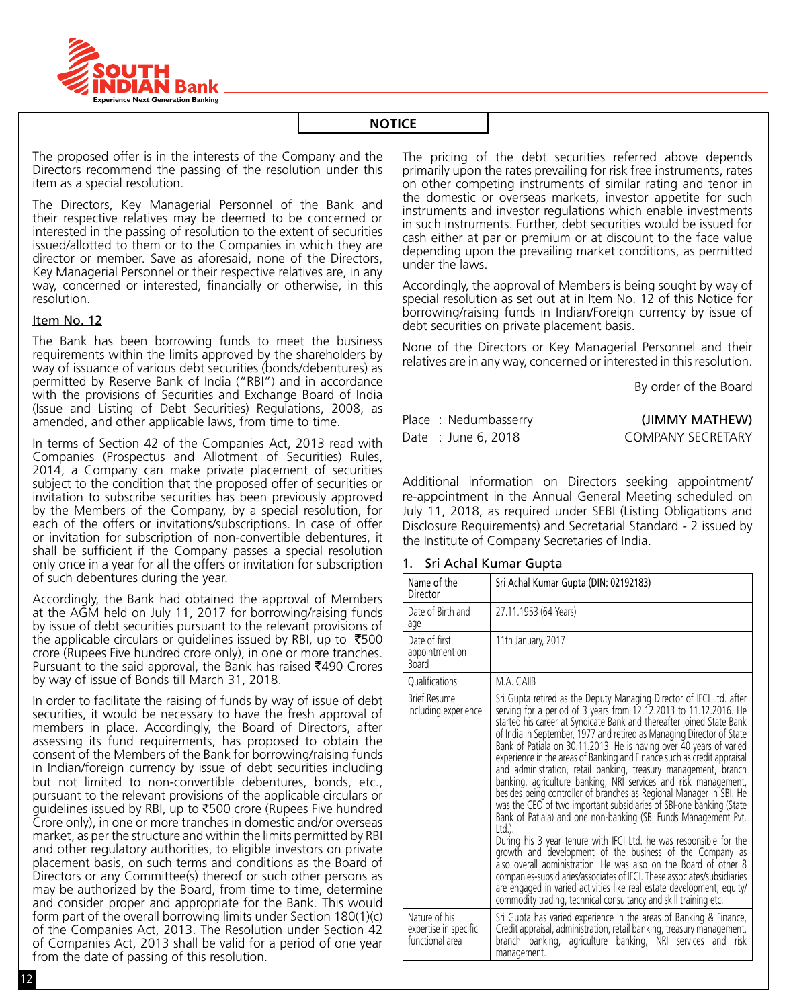

The proposed offer is in the interests of the Company and the Directors recommend the passing of the resolution under this item as a special resolution.

The Directors, Key Managerial Personnel of the Bank and their respective relatives may be deemed to be concerned or interested in the passing of resolution to the extent of securities issued/allotted to them or to the companies in which they are director or member. Save as aforesaid, none of the Directors, Key Managerial Personnel or their respective relatives are, in any way, concerned or interested, financially or otherwise, in this resolution.

# Item No. 12

The Bank has been borrowing funds to meet the business requirements within the limits approved by the shareholders by way of issuance of various debt securities (bonds/debentures) as permitted by Reserve Bank of India ("RBI") and in accordance with the provisions of Securities and Exchange Board of India (Issue and Listing of Debt Securities) Regulations, 2008, as amended, and other applicable laws, from time to time.

In terms of Section 42 of the Companies Act, 2013 read with Companies (Prospectus and Allotment of Securities) Rules, 2014, a Company can make private placement of securities subject to the condition that the proposed offer of securities or invitation to subscribe securities has been previously approved by the Members of the Company, by a special resolution, for each of the offers or invitations/subscriptions. In case of offer or invitation for subscription of non-convertible debentures, it shall be sufficient if the Company passes a special resolution only once in a year for all the offers or invitation for subscription of such debentures during the year.

Accordingly, the Bank had obtained the approval of Members at the AGM held on July 11, 2017 for borrowing/raising funds by issue of debt securities pursuant to the relevant provisions of the applicable circulars or guidelines issued by RBI, up to  $\overline{5}500$ crore (Rupees Five hundred crore only), in one or more tranches. Pursuant to the said approval, the Bank has raised ₹490 Crores by way of issue of Bonds till March 31, 2018.

In order to facilitate the raising of funds by way of issue of debt securities, it would be necessary to have the fresh approval of members in place. Accordingly, the Board of Directors, after assessing its fund requirements, has proposed to obtain the consent of the Members of the Bank for borrowing/raising funds in Indian/foreign currency by issue of debt securities including but not limited to non-convertible debentures, bonds, etc., pursuant to the relevant provisions of the applicable circulars or guidelines issued by RBI, up to  $\bar{z}$ 500 crore (Rupees Five hundred Crore only), in one or more tranches in domestic and/or overseas market, as per the structure and within the limits permitted by RBI and other regulatory authorities, to eligible investors on private placement basis, on such terms and conditions as the Board of Directors or any Committee(s) thereof or such other persons as may be authorized by the Board, from time to time, determine and consider proper and appropriate for the Bank. This would form part of the overall borrowing limits under Section 180(1)(c) of the Companies Act, 2013. The Resolution under Section 42 of Companies Act, 2013 shall be valid for a period of one year from the date of passing of this resolution.

The pricing of the debt securities referred above depends primarily upon the rates prevailing for risk free instruments, rates on other competing instruments of similar rating and tenor in the domestic or overseas markets, investor appetite for such instruments and investor regulations which enable investments in such instruments. Further, debt securities would be issued for cash either at par or premium or at discount to the face value depending upon the prevailing market conditions, as permitted under the laws.

Accordingly, the approval of Members is being sought by way of special resolution as set out at in Item No. 12 of this Notice for borrowing/raising funds in Indian/foreign currency by issue of debt securities on private placement basis.

None of the Directors or Key Managerial Personnel and their relatives are in any way, concerned or interested in this resolution.

By order of the Board

| Place: Nedumbasserry | (JIMMY MATHEW)           |
|----------------------|--------------------------|
| Date : June 6, 2018  | <b>COMPANY SECRETARY</b> |

Additional information on Directors seeking appointment/ re-appointment in the Annual General Meeting scheduled on July 11, 2018, as required under SEBI (Listing Obligations and Disclosure Requirements) and Secretarial Standard - 2 issued by the Institute of Company Secretaries of India.

#### 1. Sri Achal Kumar Gupta

| Name of the<br>Director                                   | Sri Achal Kumar Gupta (DIN: 02192183)<br>27.11.1953 (64 Years)<br>11th January, 2017                                                                                                                                                                                                                                                                                                                                                                                                                                                                                                                                                                                                                                                                                                                                                                                                                                                                                                                                                                                                                                                                                                                                                            |  |
|-----------------------------------------------------------|-------------------------------------------------------------------------------------------------------------------------------------------------------------------------------------------------------------------------------------------------------------------------------------------------------------------------------------------------------------------------------------------------------------------------------------------------------------------------------------------------------------------------------------------------------------------------------------------------------------------------------------------------------------------------------------------------------------------------------------------------------------------------------------------------------------------------------------------------------------------------------------------------------------------------------------------------------------------------------------------------------------------------------------------------------------------------------------------------------------------------------------------------------------------------------------------------------------------------------------------------|--|
| Date of Birth and<br>age                                  |                                                                                                                                                                                                                                                                                                                                                                                                                                                                                                                                                                                                                                                                                                                                                                                                                                                                                                                                                                                                                                                                                                                                                                                                                                                 |  |
| Date of first<br>appointment on<br><b>Board</b>           |                                                                                                                                                                                                                                                                                                                                                                                                                                                                                                                                                                                                                                                                                                                                                                                                                                                                                                                                                                                                                                                                                                                                                                                                                                                 |  |
| Oualifications                                            | M.A. CAIIB                                                                                                                                                                                                                                                                                                                                                                                                                                                                                                                                                                                                                                                                                                                                                                                                                                                                                                                                                                                                                                                                                                                                                                                                                                      |  |
| <b>Brief Resume</b><br>including experience               | Sri Gupta retired as the Deputy Managing Director of IFCI Ltd. after<br>serving for a period of 3 years from 12.12.2013 to 11.12.2016. He<br>started his career at Syndicate Bank and thereafter joined State Bank<br>of India in September, 1977 and retired as Managing Director of State<br>Bank of Patiala on 30.11.2013. He is having over 40 years of varied<br>experience in the areas of Banking and Finance such as credit appraisal<br>and administration, retail banking, treasury management, branch<br>banking, agriculture banking, NRI services and risk management,<br>besides being controller of branches as Regional Manager in SBI. He<br>was the CEO of two important subsidiaries of SBI-one banking (State<br>Bank of Patiala) and one non-banking (SBI Funds Management Pvt.<br>$ltd$ .<br>During his 3 year tenure with IFCI Ltd. he was responsible for the<br>growth and development of the business of the Company as<br>also overall administration. He was also on the Board of other 8<br>companies-subsidiaries/associates of IFCI. These associates/subsidiaries<br>are engaged in varied activities like real estate development, equity/<br>commodity trading, technical consultancy and skill training etc. |  |
| Nature of his<br>expertise in specific<br>functional area | Sri Gupta has varied experience in the areas of Banking & Finance,<br>Credit appraisal, administration, retail banking, treasury management,<br>banking, agriculture banking, NRI services and<br>branch<br>risk<br>management.                                                                                                                                                                                                                                                                                                                                                                                                                                                                                                                                                                                                                                                                                                                                                                                                                                                                                                                                                                                                                 |  |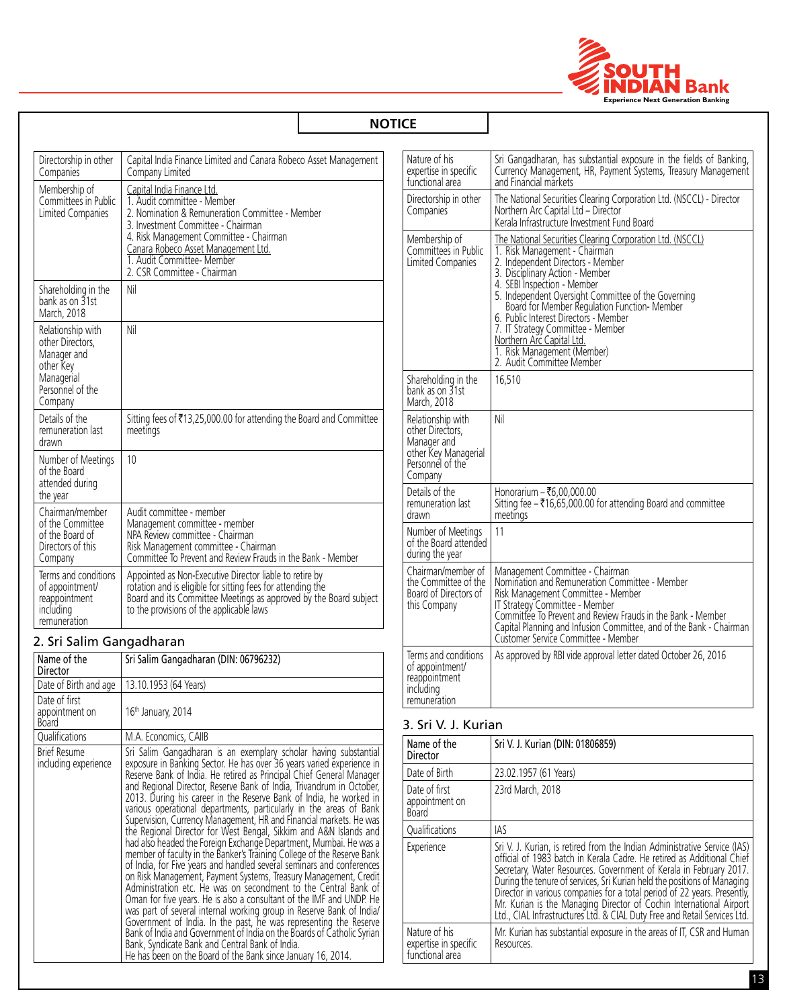

|                                                                                                                                                                                                                                                                                                                                                                                                                                                                                                                                                                                    |                                                                                                                                                                                                                                                                                                   | <b>NOTICE</b>                                                                       |                                                                                                                                                                                                                                                                                                |
|------------------------------------------------------------------------------------------------------------------------------------------------------------------------------------------------------------------------------------------------------------------------------------------------------------------------------------------------------------------------------------------------------------------------------------------------------------------------------------------------------------------------------------------------------------------------------------|---------------------------------------------------------------------------------------------------------------------------------------------------------------------------------------------------------------------------------------------------------------------------------------------------|-------------------------------------------------------------------------------------|------------------------------------------------------------------------------------------------------------------------------------------------------------------------------------------------------------------------------------------------------------------------------------------------|
| Directorship in other<br>Companies                                                                                                                                                                                                                                                                                                                                                                                                                                                                                                                                                 | Capital India Finance Limited and Canara Robeco Asset Management<br>Company Limited                                                                                                                                                                                                               | Nature of his<br>expertise in specific<br>functional area                           | Sri Gangadharan, has substantial exposure in the fields of Banking,<br>Currency Management, HR, Payment Systems, Treasury Management<br>and Financial markets                                                                                                                                  |
| Membership of<br>Committees in Public<br>Limited Companies                                                                                                                                                                                                                                                                                                                                                                                                                                                                                                                         | Capital India Finance Ltd.<br>1. Audit committee - Member<br>2. Nomination & Remuneration Committee - Member<br>3. Investment Committee - Chairman<br>4. Risk Management Committee - Chairman<br>Canara Robeco Asset Management Ltd.<br>1. Audit Committee- Member<br>2. CSR Committee - Chairman | Directorship in other<br>Companies                                                  | The National Securities Clearing Corporation Ltd. (NSCCL) - Director<br>Northern Arc Capital Ltd - Director<br>Kerala Infrastructure Investment Fund Board                                                                                                                                     |
|                                                                                                                                                                                                                                                                                                                                                                                                                                                                                                                                                                                    |                                                                                                                                                                                                                                                                                                   | Membership of<br>Committees in Public<br>Limited Companies                          | The National Securities Clearing Corporation Ltd. (NSCCL)<br>1. Risk Management - Chairman<br>2. Independent Directors - Member<br>3. Disciplinary Action - Member<br>4. SEBI Inspection - Member                                                                                              |
| Shareholding in the<br>bank as on 31st<br>March, 2018                                                                                                                                                                                                                                                                                                                                                                                                                                                                                                                              | Nil                                                                                                                                                                                                                                                                                               |                                                                                     | 5. Independent Oversight Committee of the Governing<br>Board for Member Regulation Function-Member<br>6. Public Interest Directors - Member                                                                                                                                                    |
| Relationship with<br>other Directors.<br>Manager and<br>other Key                                                                                                                                                                                                                                                                                                                                                                                                                                                                                                                  | Nil                                                                                                                                                                                                                                                                                               |                                                                                     | 7. IT Strategy Committee - Member<br>Northern Arc Capital Ltd.<br>1. Risk Management (Member)<br>2. Audit Committee Member                                                                                                                                                                     |
| Managerial<br>Personnel of the<br>Company                                                                                                                                                                                                                                                                                                                                                                                                                                                                                                                                          |                                                                                                                                                                                                                                                                                                   | Shareholding in the<br>bank as on $31st$<br>March, 2018                             | 16,510                                                                                                                                                                                                                                                                                         |
| Details of the<br>remuneration last<br>drawn                                                                                                                                                                                                                                                                                                                                                                                                                                                                                                                                       | Sitting fees of ₹13,25,000.00 for attending the Board and Committee<br>meetings                                                                                                                                                                                                                   | Relationship with<br>other Directors,<br>Manager and                                | Nil                                                                                                                                                                                                                                                                                            |
| Number of Meetings<br>of the Board<br>attended during                                                                                                                                                                                                                                                                                                                                                                                                                                                                                                                              | 10                                                                                                                                                                                                                                                                                                | other Key Managerial<br>Personnel of the<br>Company                                 |                                                                                                                                                                                                                                                                                                |
| the year<br>Chairman/member                                                                                                                                                                                                                                                                                                                                                                                                                                                                                                                                                        | Audit committee - member                                                                                                                                                                                                                                                                          | Details of the<br>remuneration last<br>drawn                                        | Honorarium - ₹6.00.000.00<br>Sitting fee $-$ ₹16,65,000.00 for attending Board and committee                                                                                                                                                                                                   |
| of the Committee<br>Management committee - member<br>of the Board of<br>NPA Review committee - Chairman<br>Directors of this<br>Risk Management committee - Chairman<br>Committee To Prevent and Review Frauds in the Bank - Member<br>Company<br>Terms and conditions<br>Appointed as Non-Executive Director liable to retire by<br>rotation and is eligible for sitting fees for attending the<br>Board and its Committee Meetings as approved by the Board subject<br>of appointment/<br>reappointment<br>to the provisions of the applicable laws<br>including<br>remuneration |                                                                                                                                                                                                                                                                                                   | Number of Meetings<br>of the Board attended<br>during the year                      | meetings<br>11                                                                                                                                                                                                                                                                                 |
|                                                                                                                                                                                                                                                                                                                                                                                                                                                                                                                                                                                    |                                                                                                                                                                                                                                                                                                   | Chairman/member of<br>the Committee of the<br>Board of Directors of<br>this Company | Management Committee - Chairman<br>Nomination and Remuneration Committee - Member<br>Risk Management Committee - Member<br>IT Strategy Committee - Member<br>Committee To Prevent and Review Frauds in the Bank - Member<br>Capital Planning and Infusion Committee, and of the Bank, Chairman |

# 2. Sri Salim Gangadharan

| Name of the<br>Director                         | Sri Salim Gangadharan (DIN: 06796232)                                                                                                                                                                                                                                                                                                                                                                                                                                                                                                                                                                                                                                                                                                                                                                                                                                                                                                                                                                                                                                                                                                                                                                                                                                                                                                                          |
|-------------------------------------------------|----------------------------------------------------------------------------------------------------------------------------------------------------------------------------------------------------------------------------------------------------------------------------------------------------------------------------------------------------------------------------------------------------------------------------------------------------------------------------------------------------------------------------------------------------------------------------------------------------------------------------------------------------------------------------------------------------------------------------------------------------------------------------------------------------------------------------------------------------------------------------------------------------------------------------------------------------------------------------------------------------------------------------------------------------------------------------------------------------------------------------------------------------------------------------------------------------------------------------------------------------------------------------------------------------------------------------------------------------------------|
| Date of Birth and age                           | 13.10.1953 (64 Years)                                                                                                                                                                                                                                                                                                                                                                                                                                                                                                                                                                                                                                                                                                                                                                                                                                                                                                                                                                                                                                                                                                                                                                                                                                                                                                                                          |
| Date of first<br>appointment on<br><b>Board</b> | 16 <sup>th</sup> January, 2014                                                                                                                                                                                                                                                                                                                                                                                                                                                                                                                                                                                                                                                                                                                                                                                                                                                                                                                                                                                                                                                                                                                                                                                                                                                                                                                                 |
| Qualifications                                  | M.A. Economics, CAIIB                                                                                                                                                                                                                                                                                                                                                                                                                                                                                                                                                                                                                                                                                                                                                                                                                                                                                                                                                                                                                                                                                                                                                                                                                                                                                                                                          |
| <b>Brief Resume</b><br>including experience     | Sri Salim Gangadharan is an exemplary scholar having substantial<br>exposure in Banking Sector. He has over 36 years varied experience in<br>Reserve Bank of India. He retired as Principal Chief General Manager<br>and Regional Director, Reserve Bank of India, Trivandrum in October,<br>2013. During his career in the Reserve Bank of India, he worked in<br>various operational departments, particularly in the areas of Bank<br>Supervision, Currency Management, HR and Financial markets. He was<br>the Regional Director for West Bengal, Sikkim and A&N Islands and<br>had also headed the Foreign Exchange Department, Mumbai. He was a<br>member of faculty in the Banker's Training College of the Reserve Bank<br>of India, for Five years and handled several seminars and conferences<br>on Risk Management, Payment Systems, Treasury Management, Credit<br>Administration etc. He was on secondment to the Central Bank of<br>Oman for five years. He is also a consultant of the IMF and UNDP. He<br>was part of several internal working group in Reserve Bank of India/<br>Government of India. In the past, he was representing the Reserve Bank of India and Government of India on the Boards of Catholic Syrian<br>Bank, Syndicate Bank and Central Bank of India.<br>He has been on the Board of the Bank since January 16, 2014. |

|                                                                                                             | ולכומות ווווותאנועכנעוכ וווזיכאנוווכות ו עווע טטמוכ                                                                                                                                                                                                                                                                                                                                                                                                                             |  |
|-------------------------------------------------------------------------------------------------------------|---------------------------------------------------------------------------------------------------------------------------------------------------------------------------------------------------------------------------------------------------------------------------------------------------------------------------------------------------------------------------------------------------------------------------------------------------------------------------------|--|
| Membership of<br>Committees in Public<br>Limited Companies                                                  | The National Securities Clearing Corporation Ltd. (NSCCL)<br>1. Risk Management - Chairman<br>2. Independent Directors - Member<br>3. Disciplinary Action - Member<br>4. SEBI Inspection - Member<br>5. Independent Oversight Committee of the Governing<br>Board for Member Regulation Function- Member<br>6. Public Interest Directors - Member<br>7. IT Strategy Committee - Member<br>Northern Arc Capital Ltd.<br>1. Risk Management (Member)<br>2. Audit Committee Member |  |
| Shareholding in the<br>bank as on 31st<br>March, 2018                                                       | 16,510                                                                                                                                                                                                                                                                                                                                                                                                                                                                          |  |
| Relationship with<br>other Directors,<br>Manager and<br>other Key Managerial<br>Personnel of the<br>Company | Nil                                                                                                                                                                                                                                                                                                                                                                                                                                                                             |  |
| Details of the<br>remuneration last<br>drawn                                                                | Honorarium - ₹6,00,000.00<br>Sitting fee $-$ ₹16,65,000.00 for attending Board and committee<br>meetings                                                                                                                                                                                                                                                                                                                                                                        |  |
| Number of Meetings<br>of the Board attended<br>during the year                                              | 11                                                                                                                                                                                                                                                                                                                                                                                                                                                                              |  |
| Chairman/member of<br>the Committee of the<br>Board of Directors of<br>this Company                         | Management Committee - Chairman<br>Nomination and Remuneration Committee - Member<br>Risk Management Committee - Member<br>IT Strategy Committee - Member<br>Committee To Prevent and Review Frauds in the Bank - Member<br>Capital Planning and Infusion Committee, and of the Bank - Chairman<br>Customer Service Committee - Member                                                                                                                                          |  |
| Terms and conditions<br>of appointment/<br>reappointment<br>including<br>remuneration                       | As approved by RBI vide approval letter dated October 26, 2016                                                                                                                                                                                                                                                                                                                                                                                                                  |  |
| 3. Sri V. J. Kurian                                                                                         |                                                                                                                                                                                                                                                                                                                                                                                                                                                                                 |  |

| Name of the<br>Director                                   | Sri V. J. Kurian (DIN: 01806859)                                                                                                                                                                                                                                                                                                                                                                                                                                                                                                      |
|-----------------------------------------------------------|---------------------------------------------------------------------------------------------------------------------------------------------------------------------------------------------------------------------------------------------------------------------------------------------------------------------------------------------------------------------------------------------------------------------------------------------------------------------------------------------------------------------------------------|
| Date of Birth                                             | 23.02.1957 (61 Years)                                                                                                                                                                                                                                                                                                                                                                                                                                                                                                                 |
| Date of first<br>appointment on<br>Board                  | 23rd March, 2018                                                                                                                                                                                                                                                                                                                                                                                                                                                                                                                      |
| Qualifications                                            | ias                                                                                                                                                                                                                                                                                                                                                                                                                                                                                                                                   |
| Experience                                                | Sri V. J. Kurian, is retired from the Indian Administrative Service (IAS)<br>official of 1983 batch in Kerala Cadre. He retired as Additional Chief<br>Secretary, Water Resources. Government of Kerala in February 2017.<br>During the tenure of services, Sri Kurian held the positions of Managing<br>Director in various companies for a total period of 22 years. Presently,<br>Mr. Kurian is the Managing Director of Cochin International Airport<br>Ltd., CIAL Infrastructures Ltd. & CIAL Duty Free and Retail Services Ltd. |
| Nature of his<br>expertise in specific<br>functional area | Mr. Kurian has substantial exposure in the areas of IT, CSR and Human<br>Resources.                                                                                                                                                                                                                                                                                                                                                                                                                                                   |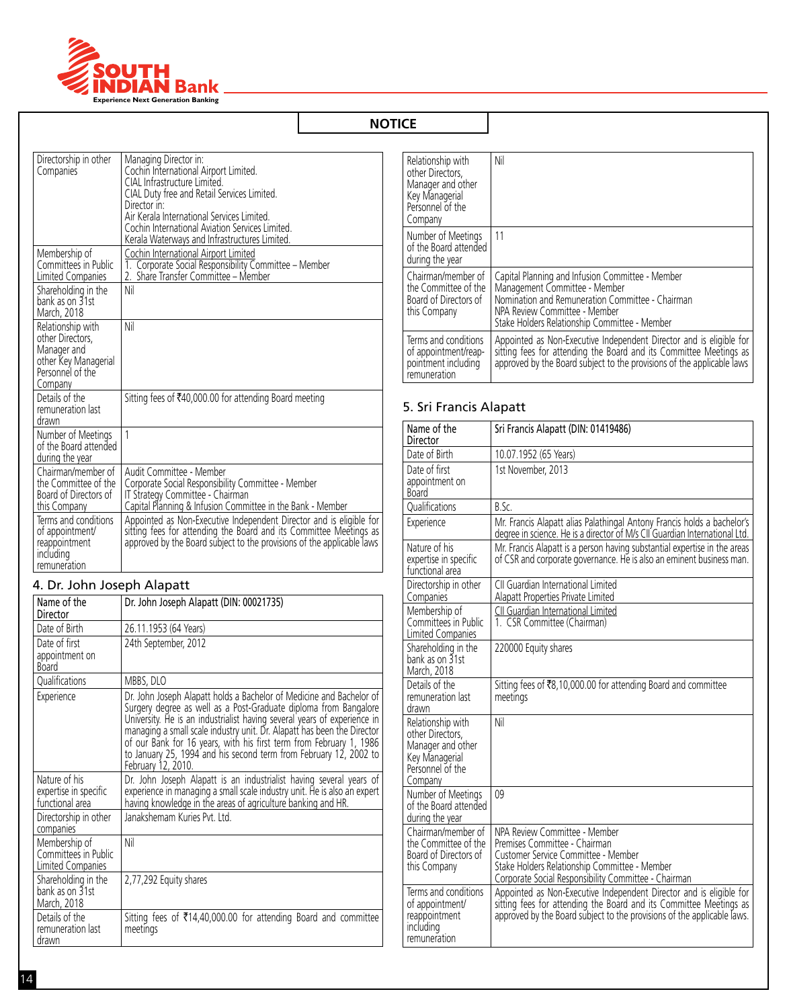

| Directorship in other<br>Companies                                                                          | Managing Director in:<br>Cochin International Airport Limited.<br>CIAL Infrastructure Limited.<br>CIAL Duty free and Retail Services Limited.<br>Director in:<br>Air Kerala International Services Limited.<br>Cochin International Aviation Services Limited.<br>Kerala Waterways and Infrastructures Limited. |
|-------------------------------------------------------------------------------------------------------------|-----------------------------------------------------------------------------------------------------------------------------------------------------------------------------------------------------------------------------------------------------------------------------------------------------------------|
| Membership of<br>Committees in Public<br>Limited Companies                                                  | Cochin International Airport Limited<br>1. Corporate Social Responsibility Committee - Member<br>Share Transfer Committee - Member<br>2.                                                                                                                                                                        |
| Shareholding in the<br>bank as on 31st<br>March, 2018                                                       | Nil                                                                                                                                                                                                                                                                                                             |
| Relationship with<br>other Directors.<br>Manager and<br>other Key Managerial<br>Personnel of the<br>Company | Nil                                                                                                                                                                                                                                                                                                             |
| Details of the<br>remuneration last<br>drawn                                                                | Sitting fees of ₹40,000.00 for attending Board meeting                                                                                                                                                                                                                                                          |
| Number of Meetings<br>of the Board attended<br>during the year                                              | 1                                                                                                                                                                                                                                                                                                               |
| Chairman/member of<br>the Committee of the<br>Board of Directors of<br>this Company                         | Audit Committee - Member<br>Corporate Social Responsibility Committee - Member<br>IT Strategy Committee - Chairman<br>Capital Planning & Infusion Committee in the Bank - Member                                                                                                                                |
| Terms and conditions<br>of appointment/<br>reappointment<br>including<br>remuneration                       | Appointed as Non-Executive Independent Director and is eligible for<br>sitting fees for attending the Board and its Committee Meetings as<br>approved by the Board subject to the provisions of the applicable laws                                                                                             |

# 4. Dr. John Joseph Alapatt

| Name of the<br>Director                                    | Dr. John Joseph Alapatt (DIN: 00021735)                                                                                                                                                                                                                                                                                                                                                                                                                        |
|------------------------------------------------------------|----------------------------------------------------------------------------------------------------------------------------------------------------------------------------------------------------------------------------------------------------------------------------------------------------------------------------------------------------------------------------------------------------------------------------------------------------------------|
| Date of Birth                                              | 26.11.1953 (64 Years)                                                                                                                                                                                                                                                                                                                                                                                                                                          |
| Date of first<br>appointment on<br><b>Board</b>            | 24th September, 2012                                                                                                                                                                                                                                                                                                                                                                                                                                           |
| Qualifications                                             | MBBS, DLO                                                                                                                                                                                                                                                                                                                                                                                                                                                      |
| Experience                                                 | Dr. John Joseph Alapatt holds a Bachelor of Medicine and Bachelor of<br>Surgery degree as well as a Post-Graduate diploma from Bangalore<br>University. He is an industrialist having several years of experience in<br>managing a small scale industry unit. Dr. Alapatt has been the Director<br>of our Bank for 16 years, with his first term from February 1, 1986 to January 25, 1994 and his second term from February 12, 2002 to<br>February 12, 2010. |
| Nature of his<br>expertise in specific<br>functional area  | Dr. John Joseph Alapatt is an industrialist having several years of<br>experience in managing a small scale industry unit. He is also an expert<br>having knowledge in the areas of agriculture banking and HR.                                                                                                                                                                                                                                                |
| Directorship in other<br>companies                         | Janakshemam Kuries Pvt. Ltd.                                                                                                                                                                                                                                                                                                                                                                                                                                   |
| Membership of<br>Committees in Public<br>Limited Companies | Nil                                                                                                                                                                                                                                                                                                                                                                                                                                                            |
| Shareholding in the<br>bank as on 31st<br>March, 2018      | 2,77,292 Equity shares                                                                                                                                                                                                                                                                                                                                                                                                                                         |
| Details of the<br>remuneration last<br>drawn               | Sitting fees of ₹14,40,000.00 for attending Board and committee<br>meetings                                                                                                                                                                                                                                                                                                                                                                                    |

| Relationship with<br>other Directors,<br>Manager and other<br>Key Managerial<br>Personnel of the<br>Company | Nil                                                                                                                                                                                                                     |
|-------------------------------------------------------------------------------------------------------------|-------------------------------------------------------------------------------------------------------------------------------------------------------------------------------------------------------------------------|
| Number of Meetings<br>of the Board attended<br>during the year                                              | 11                                                                                                                                                                                                                      |
| Chairman/member of<br>the Committee of the<br>Board of Directors of<br>this Company                         | Capital Planning and Infusion Committee - Member<br>Management Committee - Member<br>Nomination and Remuneration Committee - Chairman<br>NPA Review Committee - Member<br>Stake Holders Relationship Committee - Member |
| Terms and conditions<br>of appointment/reap-<br>pointment including<br>remuneration                         | Appointed as Non-Executive Independent Director and is eligible for sitting fees for attending the Board and its Committee Meetings as<br>approved by the Board subject to the provisions of the applicable laws        |

# 5. Sri Francis Alapatt

| Name of the<br>Director                                                                                     | Sri Francis Alapatt (DIN: 01419486)                                                                                                                                                                                  |
|-------------------------------------------------------------------------------------------------------------|----------------------------------------------------------------------------------------------------------------------------------------------------------------------------------------------------------------------|
| Date of Birth                                                                                               | 10.07.1952 (65 Years)                                                                                                                                                                                                |
| Date of first<br>appointment on<br><b>Board</b>                                                             | 1st November, 2013                                                                                                                                                                                                   |
| Qualifications                                                                                              | B.Sc.                                                                                                                                                                                                                |
| Experience                                                                                                  | Mr. Francis Alapatt alias Palathingal Antony Francis holds a bachelor's<br>degree in science. He is a director of M/s CII Guardian International Ltd.                                                                |
| Nature of his<br>expertise in specific<br>functional area                                                   | Mr. Francis Alapatt is a person having substantial expertise in the areas<br>of CSR and corporate governance. He is also an eminent business man.                                                                    |
| Directorship in other<br>Companies                                                                          | CII Guardian International Limited<br>Alapatt Properties Private Limited                                                                                                                                             |
| Membership of<br>Committees in Public<br>Limited Companies                                                  | CII Guardian International Limited<br>1. CSR Committee (Chairman)                                                                                                                                                    |
| Shareholding in the<br>bank as on 31st<br>March, 2018                                                       | 220000 Equity shares                                                                                                                                                                                                 |
| Details of the<br>remuneration last<br>drawn                                                                | Sitting fees of ₹8,10,000.00 for attending Board and committee<br>meetings                                                                                                                                           |
| Relationship with<br>other Directors,<br>Manager and other<br>Key Managerial<br>Personnel of the<br>Company | Nil                                                                                                                                                                                                                  |
| Number of Meetings<br>of the Board attended<br>during the year                                              | 09                                                                                                                                                                                                                   |
| Chairman/member of<br>the Committee of the<br>Board of Directors of<br>this Company                         | NPA Review Committee - Member<br>Premises Committee - Chairman<br>Customer Service Committee - Member<br>Stake Holders Relationship Committee - Member<br>Corporate Social Responsibility Committee - Chairman       |
| Terms and conditions<br>of appointment/<br>reappointment<br>including<br>remuneration                       | Appointed as Non-Executive Independent Director and is eligible for<br>sitting fees for attending the Board and its Committee Meetings as<br>approved by the Board subject to the provisions of the applicable laws. |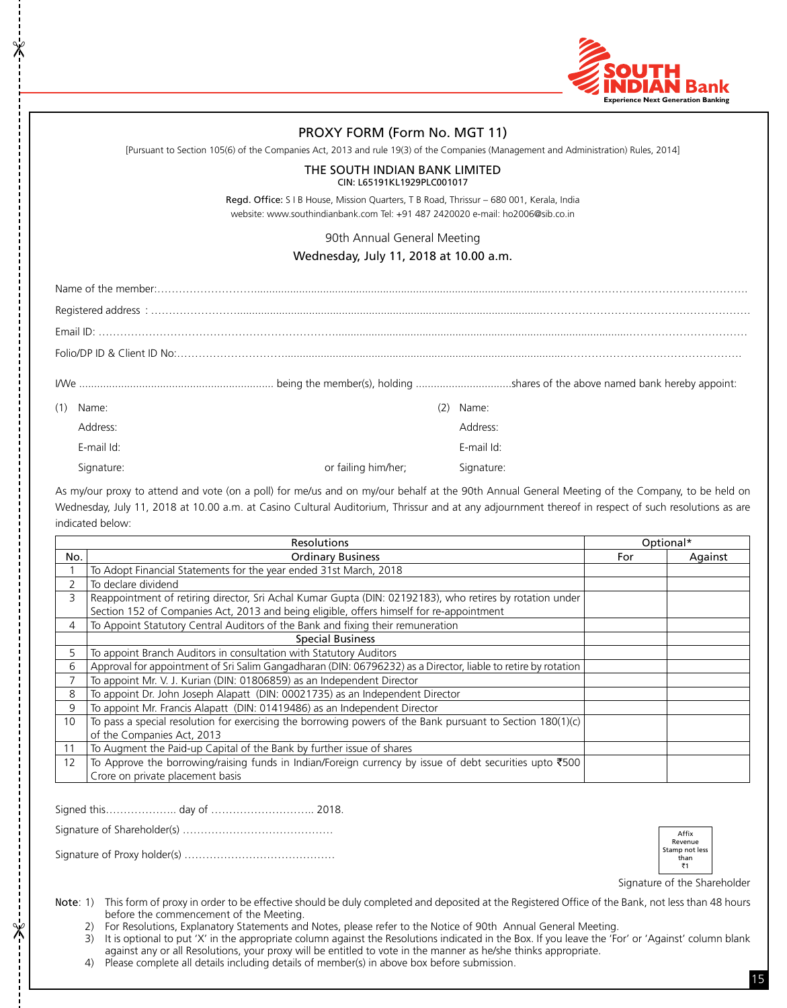

# PROXY FORM (Form No. MGT 11)

[Pursuant to Section 105(6) of the Companies Act, 2013 and rule 19(3) of the Companies (Management and Administration) Rules, 2014]

#### THE SOUTH INDIAN BANK LIMITED CIN: L65191KL1929PLC001017

Regd. Office: S I B House, Mission Quarters, T B Road, Thrissur – 680 001, Kerala, India website: www.southindianbank.com Tel: +91 487 2420020 e-mail: ho2006@sib.co.in

#### 90th Annual General Meeting

# Wednesday, July 11, 2018 at 10.00 a.m.

| (1) | Name:      |                     | Name:      |
|-----|------------|---------------------|------------|
|     | Address:   |                     | Address:   |
|     | F-mail Id: |                     | E-mail Id: |
|     | Signature: | or failing him/her: | Signature: |

As my/our proxy to attend and vote (on a poll) for me/us and on my/our behalf at the 90th Annual General Meeting of the Company, to be held on Wednesday, July 11, 2018 at 10.00 a.m. at Casino Cultural Auditorium, Thrissur and at any adjournment thereof in respect of such resolutions as are indicated below:

| <b>Resolutions</b> |                                                                                                                            | Optional* |         |
|--------------------|----------------------------------------------------------------------------------------------------------------------------|-----------|---------|
| No.                | <b>Ordinary Business</b>                                                                                                   | For       | Against |
|                    | To Adopt Financial Statements for the year ended 31st March, 2018                                                          |           |         |
| 2                  | To declare dividend                                                                                                        |           |         |
| 3                  | Reappointment of retiring director, Sri Achal Kumar Gupta (DIN: 02192183), who retires by rotation under                   |           |         |
|                    | Section 152 of Companies Act, 2013 and being eligible, offers himself for re-appointment                                   |           |         |
| 4                  | To Appoint Statutory Central Auditors of the Bank and fixing their remuneration                                            |           |         |
|                    | <b>Special Business</b>                                                                                                    |           |         |
| 5                  | To appoint Branch Auditors in consultation with Statutory Auditors                                                         |           |         |
| 6                  | Approval for appointment of Sri Salim Gangadharan (DIN: 06796232) as a Director, liable to retire by rotation              |           |         |
| 7                  | To appoint Mr. V. J. Kurian (DIN: 01806859) as an Independent Director                                                     |           |         |
| 8                  | To appoint Dr. John Joseph Alapatt (DIN: 00021735) as an Independent Director                                              |           |         |
| 9                  | To appoint Mr. Francis Alapatt (DIN: 01419486) as an Independent Director                                                  |           |         |
| 10                 | To pass a special resolution for exercising the borrowing powers of the Bank pursuant to Section 180(1)(c)                 |           |         |
|                    | of the Companies Act, 2013                                                                                                 |           |         |
| 11                 | To Augment the Paid-up Capital of the Bank by further issue of shares                                                      |           |         |
| 12                 | To Approve the borrowing/raising funds in Indian/Foreign currency by issue of debt securities upto $\text{\texttt{\$500}}$ |           |         |
|                    | Crore on private placement basis                                                                                           |           |         |

Signed this……………….. day of ……………………….. 2018.

 $\mathbb{\mathbb{X}}$ 

 $\cancel{\times}$ 

Signature of Shareholder(s) ……………………………………

Signature of Proxy holder(s) ……………………………………



Signature of the Shareholder

Note: 1) This form of proxy in order to be effective should be duly completed and deposited at the Registered Office of the Bank, not less than 48 hours before the commencement of the Meeting.

2) For Resolutions, Explanatory Statements and Notes, please refer to the Notice of 90th Annual General Meeting.

3) It is optional to put 'X' in the appropriate column against the Resolutions indicated in the Box. If you leave the 'For' or 'Against' column blank against any or all Resolutions, your proxy will be entitled to vote in the manner as he/she thinks appropriate.

4) Please complete all details including details of member(s) in above box before submission.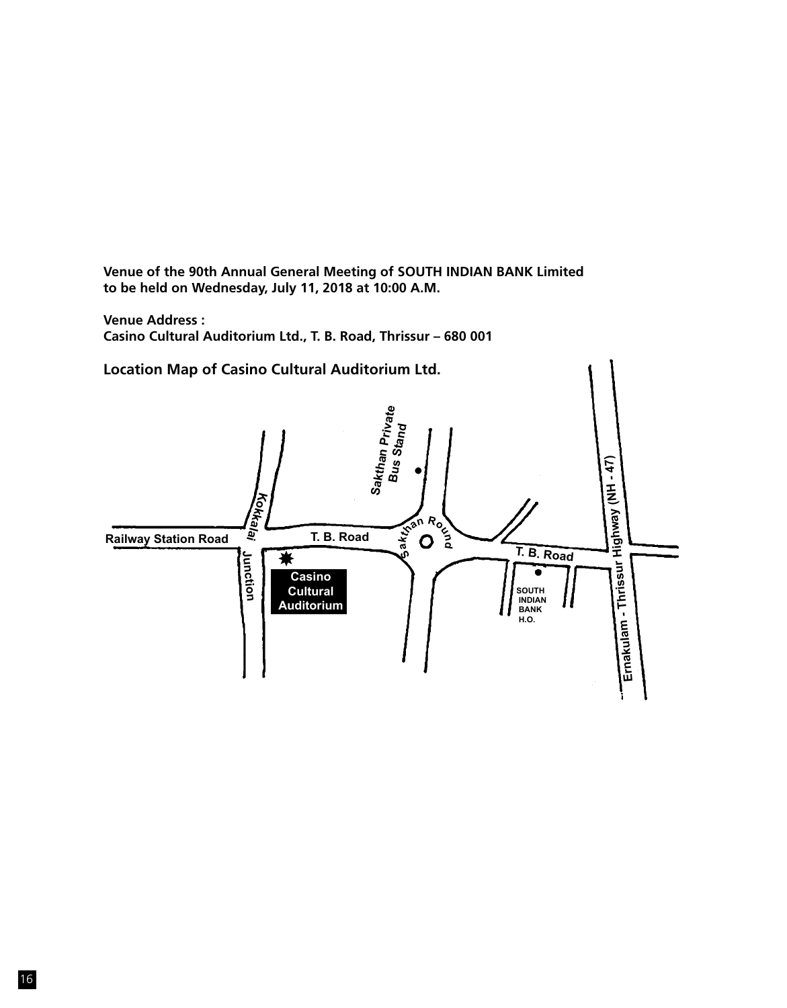**Venue of the 90th Annual General Meeting of SOUTH INDIAN BANK Limited to be held on Wednesday, July 11, 2018 at 10:00 A.M.**

**Venue Address : Casino Cultural Auditorium Ltd., T. B. Road, Thrissur – 680 001**